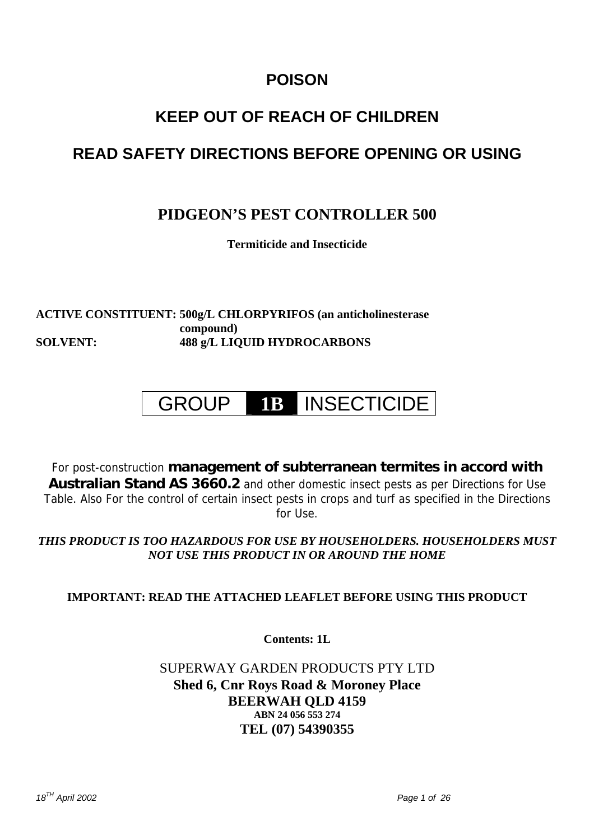## **POISON**

## **KEEP OUT OF REACH OF CHILDREN**

## **READ SAFETY DIRECTIONS BEFORE OPENING OR USING**

## **PIDGEON'S PEST CONTROLLER 500**

**Termiticide and Insecticide** 

**ACTIVE CONSTITUENT: 500g/L CHLORPYRIFOS (an anticholinesterase compound) SOLVENT: 488 g/L LIQUID HYDROCARBONS** 

# GROUP **1B** INSECTICIDE

For post-construction **management of subterranean termites in accord with Australian Stand AS 3660.2** and other domestic insect pests as per Directions for Use Table. Also For the control of certain insect pests in crops and turf as specified in the Directions for Use.

*THIS PRODUCT IS TOO HAZARDOUS FOR USE BY HOUSEHOLDERS. HOUSEHOLDERS MUST NOT USE THIS PRODUCT IN OR AROUND THE HOME*

## **IMPORTANT: READ THE ATTACHED LEAFLET BEFORE USING THIS PRODUCT**

**Contents: 1L** 

### SUPERWAY GARDEN PRODUCTS PTY LTD **Shed 6, Cnr Roys Road & Moroney Place BEERWAH QLD 4159 ABN 24 056 553 274 TEL (07) 54390355**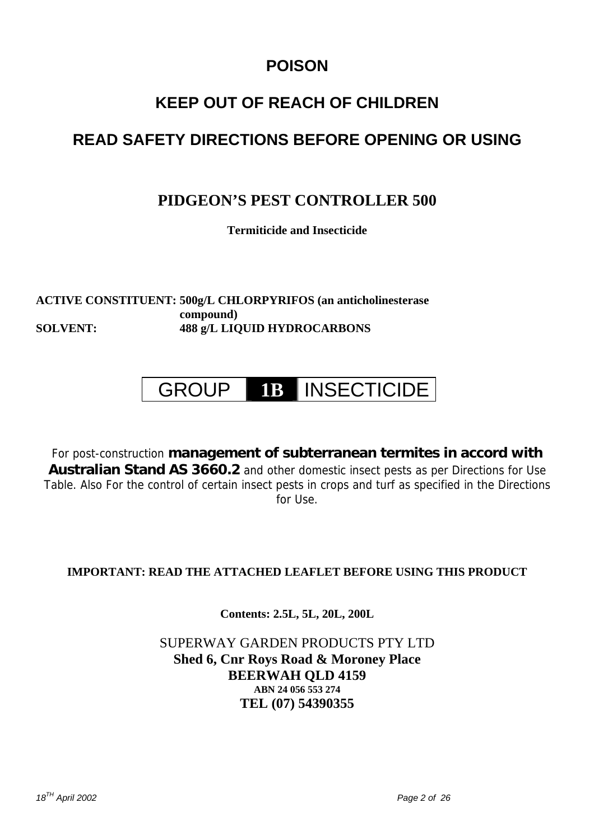## **POISON**

## **KEEP OUT OF REACH OF CHILDREN**

## **READ SAFETY DIRECTIONS BEFORE OPENING OR USING**

## **PIDGEON'S PEST CONTROLLER 500**

**Termiticide and Insecticide** 

**ACTIVE CONSTITUENT: 500g/L CHLORPYRIFOS (an anticholinesterase compound) SOLVENT: 488 g/L LIQUID HYDROCARBONS** 

## GROUP **1B** INSECTICIDE

For post-construction **management of subterranean termites in accord with Australian Stand AS 3660.2** and other domestic insect pests as per Directions for Use Table. Also For the control of certain insect pests in crops and turf as specified in the Directions  $for$   $Use$ 

## **IMPORTANT: READ THE ATTACHED LEAFLET BEFORE USING THIS PRODUCT**

**Contents: 2.5L, 5L, 20L, 200L** 

SUPERWAY GARDEN PRODUCTS PTY LTD **Shed 6, Cnr Roys Road & Moroney Place BEERWAH QLD 4159 ABN 24 056 553 274 TEL (07) 54390355**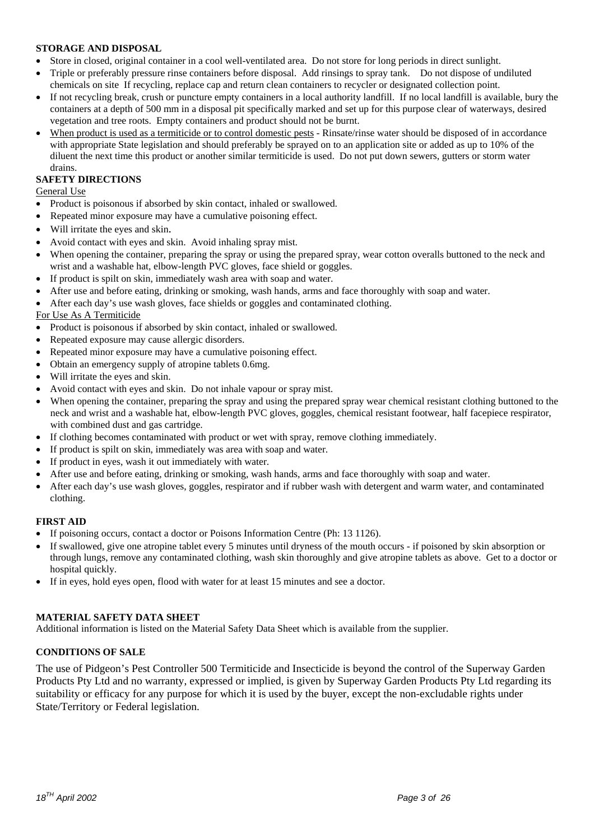#### **STORAGE AND DISPOSAL**

- Store in closed, original container in a cool well-ventilated area. Do not store for long periods in direct sunlight.
- Triple or preferably pressure rinse containers before disposal. Add rinsings to spray tank. Do not dispose of undiluted chemicals on site If recycling, replace cap and return clean containers to recycler or designated collection point.
- If not recycling break, crush or puncture empty containers in a local authority landfill. If no local landfill is available, bury the containers at a depth of 500 mm in a disposal pit specifically marked and set up for this purpose clear of waterways, desired vegetation and tree roots. Empty containers and product should not be burnt.
- When product is used as a termiticide or to control domestic pests Rinsate/rinse water should be disposed of in accordance with appropriate State legislation and should preferably be sprayed on to an application site or added as up to 10% of the diluent the next time this product or another similar termiticide is used. Do not put down sewers, gutters or storm water drains.

#### **SAFETY DIRECTIONS**

General Use

- Product is poisonous if absorbed by skin contact, inhaled or swallowed.
- Repeated minor exposure may have a cumulative poisoning effect.
- Will irritate the eyes and skin.
- Avoid contact with eyes and skin. Avoid inhaling spray mist.
- When opening the container, preparing the spray or using the prepared spray, wear cotton overalls buttoned to the neck and wrist and a washable hat, elbow-length PVC gloves, face shield or goggles.
- If product is spilt on skin, immediately wash area with soap and water.
- After use and before eating, drinking or smoking, wash hands, arms and face thoroughly with soap and water.
- After each day's use wash gloves, face shields or goggles and contaminated clothing.

#### For Use As A Termiticide

- Product is poisonous if absorbed by skin contact, inhaled or swallowed.
- Repeated exposure may cause allergic disorders.
- Repeated minor exposure may have a cumulative poisoning effect.
- Obtain an emergency supply of atropine tablets 0.6mg.
- Will irritate the eyes and skin.
- Avoid contact with eyes and skin. Do not inhale vapour or spray mist.
- When opening the container, preparing the spray and using the prepared spray wear chemical resistant clothing buttoned to the neck and wrist and a washable hat, elbow-length PVC gloves, goggles, chemical resistant footwear, half facepiece respirator, with combined dust and gas cartridge.
- If clothing becomes contaminated with product or wet with spray, remove clothing immediately.
- If product is spilt on skin, immediately was area with soap and water.
- If product in eyes, wash it out immediately with water.
- After use and before eating, drinking or smoking, wash hands, arms and face thoroughly with soap and water.
- After each day's use wash gloves, goggles, respirator and if rubber wash with detergent and warm water, and contaminated clothing.

#### **FIRST AID**

- If poisoning occurs, contact a doctor or Poisons Information Centre (Ph: 13 1126).
- If swallowed, give one atropine tablet every 5 minutes until dryness of the mouth occurs if poisoned by skin absorption or through lungs, remove any contaminated clothing, wash skin thoroughly and give atropine tablets as above. Get to a doctor or hospital quickly.
- If in eyes, hold eyes open, flood with water for at least 15 minutes and see a doctor.

#### **MATERIAL SAFETY DATA SHEET**

Additional information is listed on the Material Safety Data Sheet which is available from the supplier.

#### **CONDITIONS OF SALE**

The use of Pidgeon's Pest Controller 500 Termiticide and Insecticide is beyond the control of the Superway Garden Products Pty Ltd and no warranty, expressed or implied, is given by Superway Garden Products Pty Ltd regarding its suitability or efficacy for any purpose for which it is used by the buyer, except the non-excludable rights under State/Territory or Federal legislation.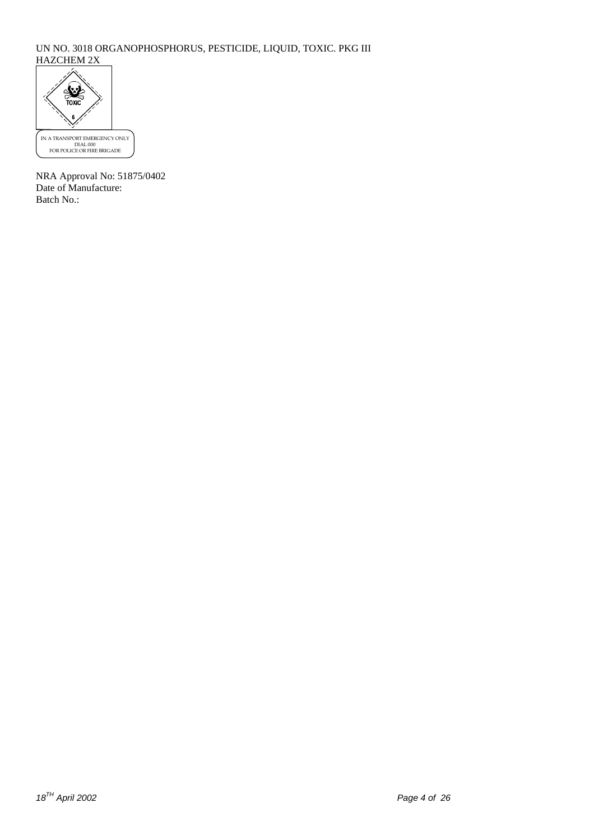#### UN NO. 3018 ORGANOPHOSPHORUS, PESTICIDE, LIQUID, TOXIC. PKG III HAZCHEM 2X



NRA Approval No: 51875/0402 Date of Manufacture: Batch No.: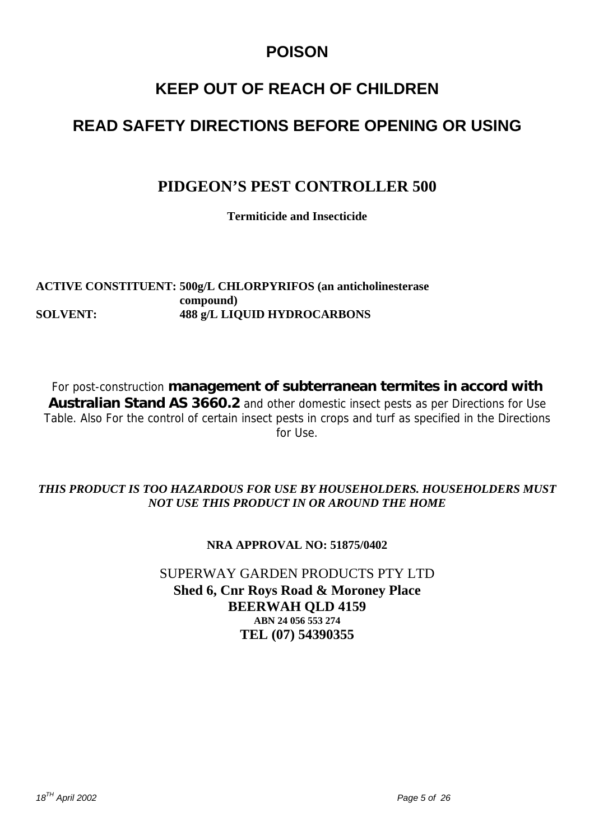## **POISON**

## **KEEP OUT OF REACH OF CHILDREN**

## **READ SAFETY DIRECTIONS BEFORE OPENING OR USING**

## **PIDGEON'S PEST CONTROLLER 500**

**Termiticide and Insecticide** 

**ACTIVE CONSTITUENT: 500g/L CHLORPYRIFOS (an anticholinesterase compound) SOLVENT: 488 g/L LIQUID HYDROCARBONS** 

For post-construction **management of subterranean termites in accord with Australian Stand AS 3660.2** and other domestic insect pests as per Directions for Use Table. Also For the control of certain insect pests in crops and turf as specified in the Directions for Use.

### *THIS PRODUCT IS TOO HAZARDOUS FOR USE BY HOUSEHOLDERS. HOUSEHOLDERS MUST NOT USE THIS PRODUCT IN OR AROUND THE HOME*

### **NRA APPROVAL NO: 51875/0402**

SUPERWAY GARDEN PRODUCTS PTY LTD **Shed 6, Cnr Roys Road & Moroney Place BEERWAH QLD 4159 ABN 24 056 553 274 TEL (07) 54390355**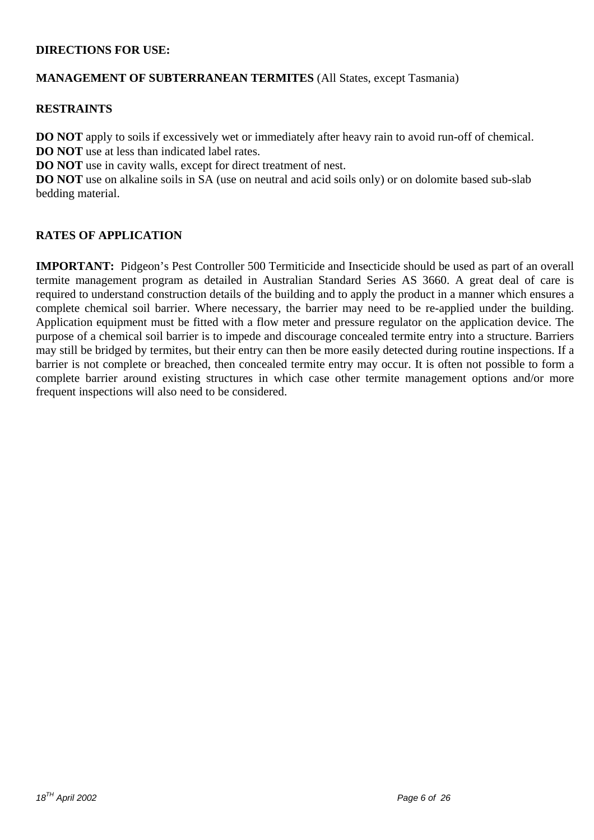### **DIRECTIONS FOR USE:**

### **MANAGEMENT OF SUBTERRANEAN TERMITES** (All States, except Tasmania)

### **RESTRAINTS**

**DO NOT** apply to soils if excessively wet or immediately after heavy rain to avoid run-off of chemical. **DO NOT** use at less than indicated label rates.

**DO NOT** use in cavity walls, except for direct treatment of nest.

**DO NOT** use on alkaline soils in SA (use on neutral and acid soils only) or on dolomite based sub-slab bedding material.

### **RATES OF APPLICATION**

**IMPORTANT:** Pidgeon's Pest Controller 500 Termiticide and Insecticide should be used as part of an overall termite management program as detailed in Australian Standard Series AS 3660. A great deal of care is required to understand construction details of the building and to apply the product in a manner which ensures a complete chemical soil barrier. Where necessary, the barrier may need to be re-applied under the building. Application equipment must be fitted with a flow meter and pressure regulator on the application device. The purpose of a chemical soil barrier is to impede and discourage concealed termite entry into a structure. Barriers may still be bridged by termites, but their entry can then be more easily detected during routine inspections. If a barrier is not complete or breached, then concealed termite entry may occur. It is often not possible to form a complete barrier around existing structures in which case other termite management options and/or more frequent inspections will also need to be considered.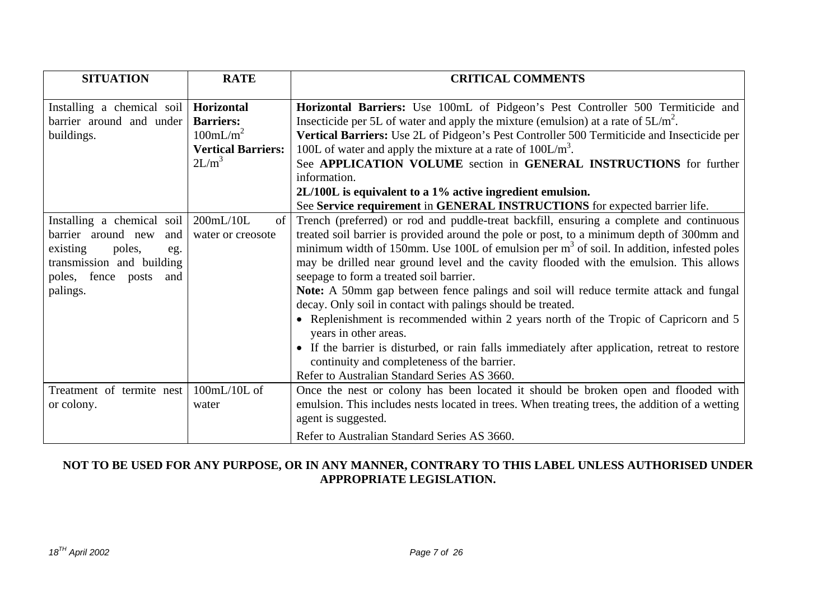| <b>SITUATION</b>                                                                                                                                           | <b>RATE</b>                                                                       | <b>CRITICAL COMMENTS</b>                                                                                                                                                                                                                                                                                                                                                                                                                                                                                                                                                                                                                                                                                                                                                                                                                                                                          |
|------------------------------------------------------------------------------------------------------------------------------------------------------------|-----------------------------------------------------------------------------------|---------------------------------------------------------------------------------------------------------------------------------------------------------------------------------------------------------------------------------------------------------------------------------------------------------------------------------------------------------------------------------------------------------------------------------------------------------------------------------------------------------------------------------------------------------------------------------------------------------------------------------------------------------------------------------------------------------------------------------------------------------------------------------------------------------------------------------------------------------------------------------------------------|
| Installing a chemical soil   Horizontal<br>barrier around and under<br>buildings.                                                                          | <b>Barriers:</b><br>100mL/m <sup>2</sup><br><b>Vertical Barriers:</b><br>$2L/m^3$ | Horizontal Barriers: Use 100mL of Pidgeon's Pest Controller 500 Termiticide and<br>Insecticide per 5L of water and apply the mixture (emulsion) at a rate of $5L/m^2$ .<br>Vertical Barriers: Use 2L of Pidgeon's Pest Controller 500 Termiticide and Insecticide per<br>100L of water and apply the mixture at a rate of $100L/m3$ .<br>See APPLICATION VOLUME section in GENERAL INSTRUCTIONS for further<br>information.<br>2L/100L is equivalent to a 1% active ingredient emulsion.<br>See Service requirement in GENERAL INSTRUCTIONS for expected barrier life.                                                                                                                                                                                                                                                                                                                            |
| Installing a chemical soil<br>barrier around new<br>and<br>existing<br>poles,<br>eg.<br>transmission and building<br>poles, fence posts<br>and<br>palings. | $200$ mL/ $10$ L<br>of<br>water or creosote                                       | Trench (preferred) or rod and puddle-treat backfill, ensuring a complete and continuous<br>treated soil barrier is provided around the pole or post, to a minimum depth of 300mm and<br>minimum width of 150mm. Use 100L of emulsion per $m3$ of soil. In addition, infested poles<br>may be drilled near ground level and the cavity flooded with the emulsion. This allows<br>seepage to form a treated soil barrier.<br>Note: A 50mm gap between fence palings and soil will reduce termite attack and fungal<br>decay. Only soil in contact with palings should be treated.<br>• Replenishment is recommended within 2 years north of the Tropic of Capricorn and 5<br>years in other areas.<br>• If the barrier is disturbed, or rain falls immediately after application, retreat to restore<br>continuity and completeness of the barrier.<br>Refer to Australian Standard Series AS 3660. |
| Treatment of termite nest<br>or colony.                                                                                                                    | $100mL/10L$ of<br>water                                                           | Once the nest or colony has been located it should be broken open and flooded with<br>emulsion. This includes nests located in trees. When treating trees, the addition of a wetting<br>agent is suggested.<br>Refer to Australian Standard Series AS 3660.                                                                                                                                                                                                                                                                                                                                                                                                                                                                                                                                                                                                                                       |

### **NOT TO BE USED FOR ANY PURPOSE, OR IN ANY MANNER, CONTRARY TO THIS LABEL UNLESS AUTHORISED UNDER APPROPRIATE LEGISLATION.**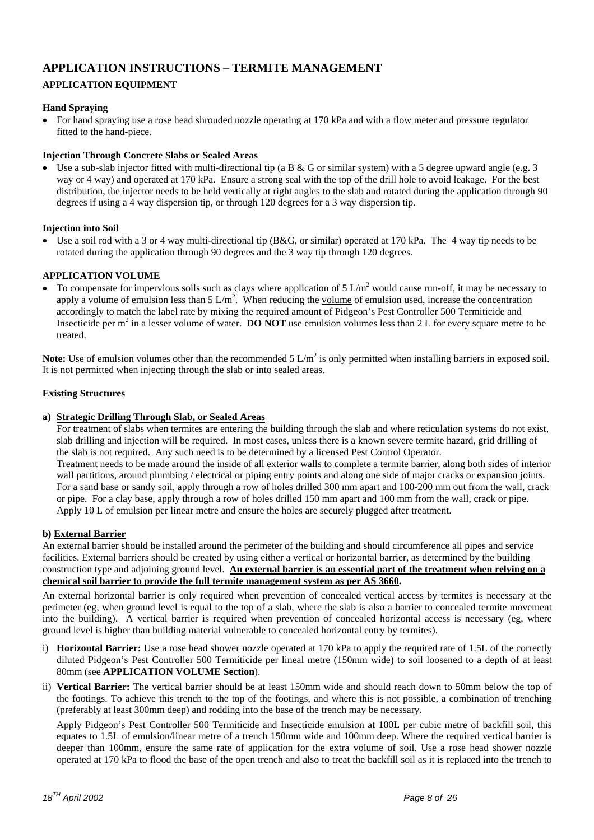## **APPLICATION INSTRUCTIONS – TERMITE MANAGEMENT**

### **APPLICATION EQUIPMENT**

#### **Hand Spraying**

• For hand spraying use a rose head shrouded nozzle operating at 170 kPa and with a flow meter and pressure regulator fitted to the hand-piece.

#### **Injection Through Concrete Slabs or Sealed Areas**

Use a sub-slab injector fitted with multi-directional tip (a B  $\&$  G or similar system) with a 5 degree upward angle (e.g. 3 way or 4 way) and operated at 170 kPa. Ensure a strong seal with the top of the drill hole to avoid leakage. For the best distribution, the injector needs to be held vertically at right angles to the slab and rotated during the application through 90 degrees if using a 4 way dispersion tip, or through 120 degrees for a 3 way dispersion tip.

#### **Injection into Soil**

• Use a soil rod with a 3 or 4 way multi-directional tip (B&G, or similar) operated at 170 kPa. The 4 way tip needs to be rotated during the application through 90 degrees and the 3 way tip through 120 degrees.

#### **APPLICATION VOLUME**

• To compensate for impervious soils such as clays where application of  $5 \text{ L/m}^2$  would cause run-off, it may be necessary to apply a volume of emulsion less than  $5 L/m^2$ . When reducing the volume of emulsion used, increase the concentration accordingly to match the label rate by mixing the required amount of Pidgeon's Pest Controller 500 Termiticide and Insecticide per  $m^2$  in a lesser volume of water. **DO NOT** use emulsion volumes less than 2 L for every square metre to be treated.

Note: Use of emulsion volumes other than the recommended  $5 L/m^2$  is only permitted when installing barriers in exposed soil. It is not permitted when injecting through the slab or into sealed areas.

#### **Existing Structures**

#### **a) Strategic Drilling Through Slab, or Sealed Areas**

For treatment of slabs when termites are entering the building through the slab and where reticulation systems do not exist, slab drilling and injection will be required. In most cases, unless there is a known severe termite hazard, grid drilling of the slab is not required. Any such need is to be determined by a licensed Pest Control Operator. Treatment needs to be made around the inside of all exterior walls to complete a termite barrier, along both sides of interior wall partitions, around plumbing / electrical or piping entry points and along one side of major cracks or expansion joints. For a sand base or sandy soil, apply through a row of holes drilled 300 mm apart and 100-200 mm out from the wall, crack or pipe. For a clay base, apply through a row of holes drilled 150 mm apart and 100 mm from the wall, crack or pipe. Apply 10 L of emulsion per linear metre and ensure the holes are securely plugged after treatment.

#### **b) External Barrier**

An external barrier should be installed around the perimeter of the building and should circumference all pipes and service facilities. External barriers should be created by using either a vertical or horizontal barrier, as determined by the building construction type and adjoining ground level. **An external barrier is an essential part of the treatment when relying on a chemical soil barrier to provide the full termite management system as per AS 3660.**

An external horizontal barrier is only required when prevention of concealed vertical access by termites is necessary at the perimeter (eg, when ground level is equal to the top of a slab, where the slab is also a barrier to concealed termite movement into the building). A vertical barrier is required when prevention of concealed horizontal access is necessary (eg, where ground level is higher than building material vulnerable to concealed horizontal entry by termites).

- i) **Horizontal Barrier:** Use a rose head shower nozzle operated at 170 kPa to apply the required rate of 1.5L of the correctly diluted Pidgeon's Pest Controller 500 Termiticide per lineal metre (150mm wide) to soil loosened to a depth of at least 80mm (see **APPLICATION VOLUME Section**).
- ii) **Vertical Barrier:** The vertical barrier should be at least 150mm wide and should reach down to 50mm below the top of the footings. To achieve this trench to the top of the footings, and where this is not possible, a combination of trenching (preferably at least 300mm deep) and rodding into the base of the trench may be necessary.

Apply Pidgeon's Pest Controller 500 Termiticide and Insecticide emulsion at 100L per cubic metre of backfill soil, this equates to 1.5L of emulsion/linear metre of a trench 150mm wide and 100mm deep. Where the required vertical barrier is deeper than 100mm, ensure the same rate of application for the extra volume of soil. Use a rose head shower nozzle operated at 170 kPa to flood the base of the open trench and also to treat the backfill soil as it is replaced into the trench to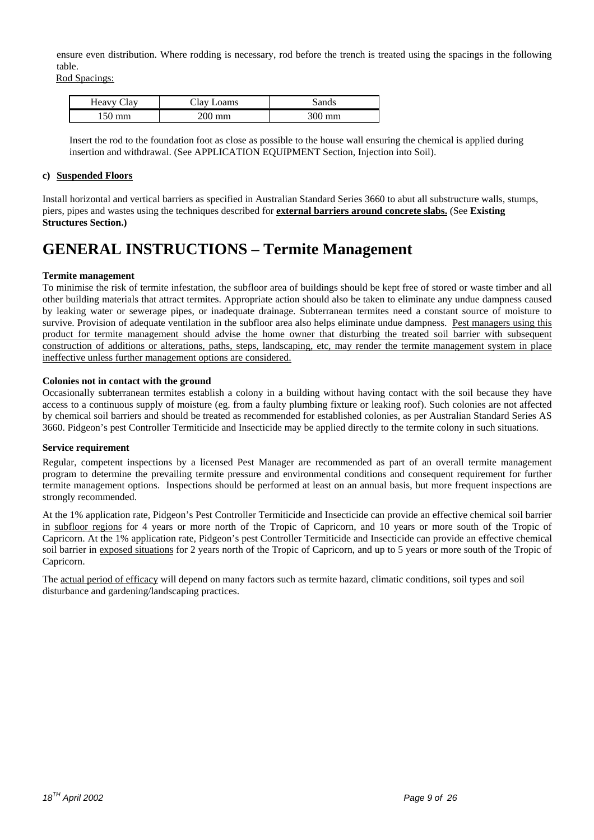ensure even distribution. Where rodding is necessary, rod before the trench is treated using the spacings in the following table.

Rod Spacings:

| ∵ Clav<br>Heavy ( | Clay I<br>$\mathcal{L}$ oams | Sands  |
|-------------------|------------------------------|--------|
| $\degree$ 50 mm   | 200 mm                       | 300 mm |

Insert the rod to the foundation foot as close as possible to the house wall ensuring the chemical is applied during insertion and withdrawal. (See APPLICATION EQUIPMENT Section, Injection into Soil).

#### **c) Suspended Floors**

Install horizontal and vertical barriers as specified in Australian Standard Series 3660 to abut all substructure walls, stumps, piers, pipes and wastes using the techniques described for **external barriers around concrete slabs.** (See **Existing Structures Section.)**

## **GENERAL INSTRUCTIONS – Termite Management**

#### **Termite management**

To minimise the risk of termite infestation, the subfloor area of buildings should be kept free of stored or waste timber and all other building materials that attract termites. Appropriate action should also be taken to eliminate any undue dampness caused by leaking water or sewerage pipes, or inadequate drainage. Subterranean termites need a constant source of moisture to survive. Provision of adequate ventilation in the subfloor area also helps eliminate undue dampness. Pest managers using this product for termite management should advise the home owner that disturbing the treated soil barrier with subsequent construction of additions or alterations, paths, steps, landscaping, etc, may render the termite management system in place ineffective unless further management options are considered.

#### **Colonies not in contact with the ground**

Occasionally subterranean termites establish a colony in a building without having contact with the soil because they have access to a continuous supply of moisture (eg. from a faulty plumbing fixture or leaking roof). Such colonies are not affected by chemical soil barriers and should be treated as recommended for established colonies, as per Australian Standard Series AS 3660. Pidgeon's pest Controller Termiticide and Insecticide may be applied directly to the termite colony in such situations.

#### **Service requirement**

Regular, competent inspections by a licensed Pest Manager are recommended as part of an overall termite management program to determine the prevailing termite pressure and environmental conditions and consequent requirement for further termite management options. Inspections should be performed at least on an annual basis, but more frequent inspections are strongly recommended.

At the 1% application rate, Pidgeon's Pest Controller Termiticide and Insecticide can provide an effective chemical soil barrier in subfloor regions for 4 years or more north of the Tropic of Capricorn, and 10 years or more south of the Tropic of Capricorn. At the 1% application rate, Pidgeon's pest Controller Termiticide and Insecticide can provide an effective chemical soil barrier in exposed situations for 2 years north of the Tropic of Capricorn, and up to 5 years or more south of the Tropic of Capricorn.

The actual period of efficacy will depend on many factors such as termite hazard, climatic conditions, soil types and soil disturbance and gardening/landscaping practices.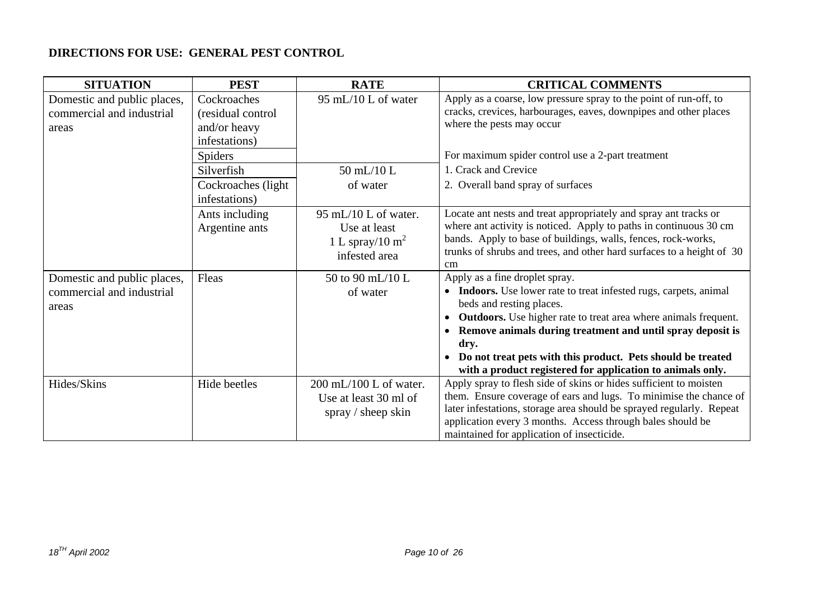### **DIRECTIONS FOR USE: GENERAL PEST CONTROL**

| <b>SITUATION</b>                                                  | <b>PEST</b>                                                       | <b>RATE</b>                                                                 | <b>CRITICAL COMMENTS</b>                                                                                                                                                                                                                                                                                                   |
|-------------------------------------------------------------------|-------------------------------------------------------------------|-----------------------------------------------------------------------------|----------------------------------------------------------------------------------------------------------------------------------------------------------------------------------------------------------------------------------------------------------------------------------------------------------------------------|
| Domestic and public places,<br>commercial and industrial<br>areas | Cockroaches<br>(residual control<br>and/or heavy<br>infestations) | 95 mL/10 L of water                                                         | Apply as a coarse, low pressure spray to the point of run-off, to<br>cracks, crevices, harbourages, eaves, downpipes and other places<br>where the pests may occur                                                                                                                                                         |
|                                                                   | <b>Spiders</b>                                                    |                                                                             | For maximum spider control use a 2-part treatment                                                                                                                                                                                                                                                                          |
|                                                                   | Silverfish                                                        | 50 mL/10 L                                                                  | 1. Crack and Crevice                                                                                                                                                                                                                                                                                                       |
|                                                                   | Cockroaches (light<br>infestations)                               | of water                                                                    | 2. Overall band spray of surfaces                                                                                                                                                                                                                                                                                          |
|                                                                   | Ants including<br>Argentine ants                                  | 95 mL/10 L of water.<br>Use at least<br>1 L spray/10 $m^2$<br>infested area | Locate ant nests and treat appropriately and spray ant tracks or<br>where ant activity is noticed. Apply to paths in continuous 30 cm<br>bands. Apply to base of buildings, walls, fences, rock-works,<br>trunks of shrubs and trees, and other hard surfaces to a height of 30<br>cm                                      |
| Domestic and public places,                                       | Fleas                                                             | 50 to 90 mL/10 L                                                            | Apply as a fine droplet spray.                                                                                                                                                                                                                                                                                             |
| commercial and industrial<br>areas                                |                                                                   | of water                                                                    | Indoors. Use lower rate to treat infested rugs, carpets, animal<br>$\bullet$<br>beds and resting places.                                                                                                                                                                                                                   |
|                                                                   |                                                                   |                                                                             | <b>Outdoors.</b> Use higher rate to treat area where animals frequent.<br>$\bullet$                                                                                                                                                                                                                                        |
|                                                                   |                                                                   |                                                                             | Remove animals during treatment and until spray deposit is<br>dry.                                                                                                                                                                                                                                                         |
|                                                                   |                                                                   |                                                                             | Do not treat pets with this product. Pets should be treated<br>with a product registered for application to animals only.                                                                                                                                                                                                  |
| Hides/Skins                                                       | Hide beetles                                                      | $200$ mL/100 L of water.<br>Use at least 30 ml of<br>spray / sheep skin     | Apply spray to flesh side of skins or hides sufficient to moisten<br>them. Ensure coverage of ears and lugs. To minimise the chance of<br>later infestations, storage area should be sprayed regularly. Repeat<br>application every 3 months. Access through bales should be<br>maintained for application of insecticide. |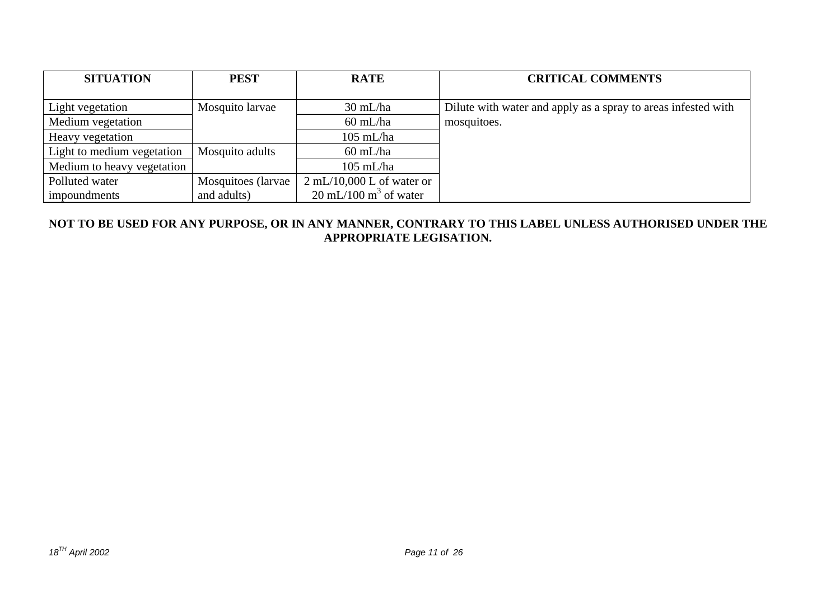| <b>SITUATION</b>           | <b>PEST</b>         | <b>RATE</b>                              | <b>CRITICAL COMMENTS</b>                                      |
|----------------------------|---------------------|------------------------------------------|---------------------------------------------------------------|
|                            |                     |                                          |                                                               |
| Light vegetation           | Mosquito larvae     | $30 \text{ mL/ha}$                       | Dilute with water and apply as a spray to areas infested with |
| Medium vegetation          |                     | $60$ mL/ha                               | mosquitoes.                                                   |
| Heavy vegetation           |                     | $105$ mL/ha                              |                                                               |
| Light to medium vegetation | Mosquito adults     | $60$ mL/ha                               |                                                               |
| Medium to heavy vegetation |                     | $105$ mL/ha                              |                                                               |
| Polluted water             | Mosquitoes (larvae) | $2 \text{ mL}/10,000 \text{ L of water}$ |                                                               |
| <i>impoundments</i>        | and adults)         | $20 \text{ mL}/100 \text{ m}^3$ of water |                                                               |

### **NOT TO BE USED FOR ANY PURPOSE, OR IN ANY MANNER, CONTRARY TO THIS LABEL UNLESS AUTHORISED UNDER THE APPROPRIATE LEGISATION.**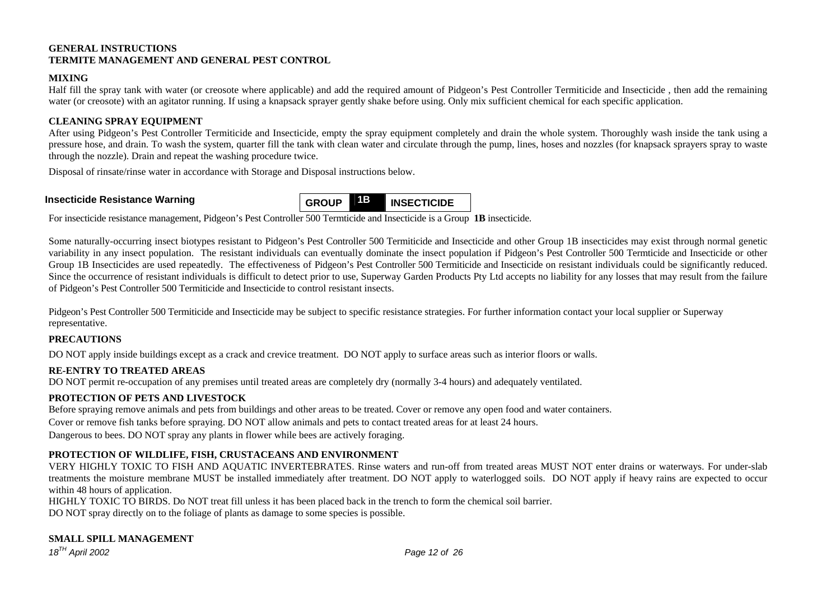#### **GENERAL INSTRUCTIONS TERMITE MANAGEMENT AND GENERAL PEST CONTROL**

#### **MIXING**

Half fill the spray tank with water (or creosote where applicable) and add the required amount of Pidgeon's Pest Controller Termiticide and Insecticide , then add the remaining water (or creosote) with an agitator running. If using a knapsack sprayer gently shake before using. Only mix sufficient chemical for each specific application.

#### **CLEANING SPRAY EQUIPMENT**

After using Pidgeon's Pest Controller Termiticide and Insecticide, empty the spray equipment completely and drain the whole system. Thoroughly wash inside the tank using a pressure hose, and drain. To wash the system, quarter fill the tank with clean water and circulate through the pump, lines, hoses and nozzles (for knapsack sprayers spray to waste through the nozzle). Drain and repeat the washing procedure twice.

Disposal of rinsate/rinse water in accordance with Storage and Disposal instructions below.



For insecticide resistance management, Pidgeon's Pest Controller 500 Termticide and Insecticide is a Group **1B** insecticide.

Some naturally-occurring insect biotypes resistant to Pidgeon's Pest Controller 500 Termiticide and Insecticide and other Group 1B insecticides may exist through normal genetic variability in any insect population. The resistant individuals can eventually dominate the insect population if Pidgeon's Pest Controller 500 Termticide and Insecticide or other Group 1B Insecticides are used repeatedly. The effectiveness of Pidgeon's Pest Controller 500 Termiticide and Insecticide on resistant individuals could be significantly reduced. Since the occurrence of resistant individuals is difficult to detect prior to use, Superway Garden Products Pty Ltd accepts no liability for any losses that may result from the failure of Pidgeon's Pest Controller 500 Termiticide and Insecticide to control resistant insects.

Pidgeon's Pest Controller 500 Termiticide and Insecticide may be subject to specific resistance strategies. For further information contact your local supplier or Superway representative.

#### **PRECAUTIONS**

DO NOT apply inside buildings except as a crack and crevice treatment. DO NOT apply to surface areas such as interior floors or walls.

### **RE-ENTRY TO TREATED AREAS**

DO NOT permit re-occupation of any premises until treated areas are completely dry (normally 3-4 hours) and adequately ventilated.

#### **PROTECTION OF PETS AND LIVESTOCK**

Before spraying remove animals and pets from buildings and other areas to be treated. Cover or remove any open food and water containers. Cover or remove fish tanks before spraying. DO NOT allow animals and pets to contact treated areas for at least 24 hours. Dangerous to bees. DO NOT spray any plants in flower while bees are actively foraging.

#### **PROTECTION OF WILDLIFE, FISH, CRUSTACEANS AND ENVIRONMENT**

VERY HIGHLY TOXIC TO FISH AND AQUATIC INVERTEBRATES. Rinse waters and run-off from treated areas MUST NOT enter drains or waterways. For under-slab treatments the moisture membrane MUST be installed immediately after treatment. DO NOT apply to waterlogged soils. DO NOT apply if heavy rains are expected to occur within 48 hours of application.

HIGHLY TOXIC TO BIRDS. Do NOT treat fill unless it has been placed back in the trench to form the chemical soil barrier. DO NOT spray directly on to the foliage of plants as damage to some species is possible.

### **SMALL SPILL MANAGEMENT**

*<sup>18</sup>TH April 2002 Page 12 of 26*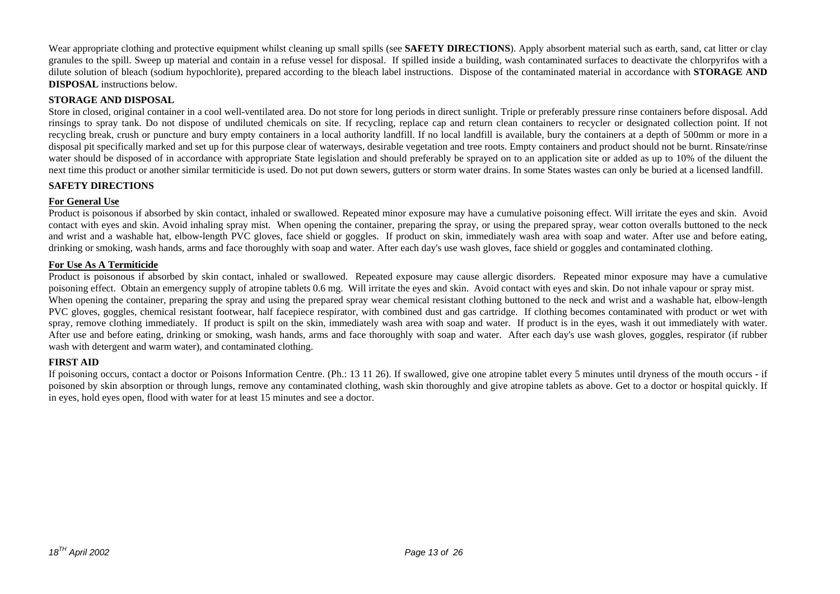Wear appropriate clothing and protective equipment whilst cleaning up small spills (see **SAFETY DIRECTIONS**). Apply absorbent material such as earth, sand, cat litter or clay granules to the spill. Sweep up material and contain in a refuse vessel for disposal. If spilled inside a building, wash contaminated surfaces to deactivate the chlorpyrifos with a dilute solution of bleach (sodium hypochlorite), prepared according to the bleach label instructions. Dispose of the contaminated material in accordance with **STORAGE AND DISPOSAL** instructions below.

#### **STORAGE AND DISPOSAL**

Store in closed, original container in a cool well-ventilated area. Do not store for long periods in direct sunlight. Triple or preferably pressure rinse containers before disposal. Add rinsings to spray tank. Do not dispose of undiluted chemicals on site. If recycling, replace cap and return clean containers to recycler or designated collection point. If not recycling break, crush or puncture and bury empty containers in a local authority landfill. If no local landfill is available, bury the containers at a depth of 500mm or more in <sup>a</sup> disposal pit specifically marked and set up for this purpose clear of waterways, desirable vegetation and tree roots. Empty containers and product should not be burnt. Rinsate/rinse water should be disposed of in accordance with appropriate State legislation and should preferably be sprayed on to an application site or added as up to 10% of the diluent the next time this product or another similar termiticide is used. Do not put down sewers, gutters or storm water drains. In some States wastes can only be buried at a licensed landfill.

#### **SAFETY DIRECTIONS**

#### **For General Use**

Product is poisonous if absorbed by skin contact, inhaled or swallowed. Repeated minor exposure may have a cumulative poisoning effect. Will irritate the eyes and skin. Avoid contact with eyes and skin. Avoid inhaling spray mist. When opening the container, preparing the spray, or using the prepared spray, wear cotton overalls buttoned to the neck and wrist and a washable hat, elbow-length PVC gloves, face shield or goggles. If product on skin, immediately wash area with soap and water. After use and before eating, drinking or smoking, wash hands, arms and face thoroughly with soap and water. After each day's use wash gloves, face shield or goggles and contaminated clothing.

#### **For Use As A Termiticide**

Product is poisonous if absorbed by skin contact, inhaled or swallowed. Repeated exposure may cause allergic disorders. Repeated minor exposure may have a cumulative poisoning effect. Obtain an emergency supply of atropine tablets 0.6 mg. Will irritate the eyes and skin. Avoid contact with eyes and skin. Do not inhale vapour or spray mist. When opening the container, preparing the spray and using the prepared spray wear chemical resistant clothing buttoned to the neck and wrist and a washable hat, elbow-length PVC gloves, goggles, chemical resistant footwear, half facepiece respirator, with combined dust and gas cartridge. If clothing becomes contaminated with product or wet with spray, remove clothing immediately. If product is spilt on the skin, immediately wash area with soap and water. If product is in the eyes, wash it out immediately with water. After use and before eating, drinking or smoking, wash hands, arms and face thoroughly with soap and water. After each day's use wash gloves, goggles, respirator (if rubber wash with detergent and warm water), and contaminated clothing.

#### **FIRST AID**

If poisoning occurs, contact a doctor or Poisons Information Centre. (Ph.: 13 11 26). If swallowed, give one atropine tablet every 5 minutes until dryness of the mouth occurs - if poisoned by skin absorption or through lungs, remove any contaminated clothing, wash skin thoroughly and give atropine tablets as above. Get to a doctor or hospital quickly. If in eyes, hold eyes open, flood with water for at least 15 minutes and see a doctor.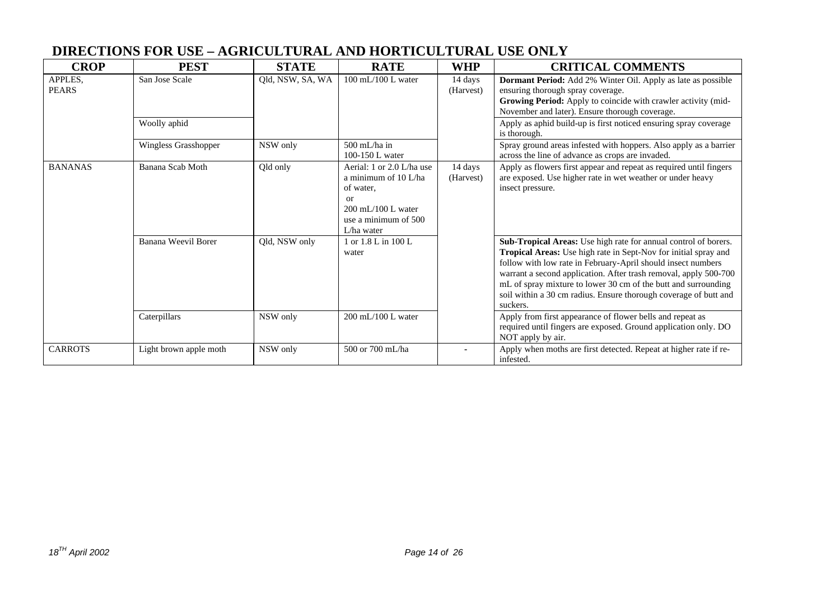## **DIRECTIONS FOR USE – AGRICULTURAL AND HORTICULTURAL USE ONLY**

| <b>CROP</b>             | <b>PEST</b>                    | <b>STATE</b>     | <b>RATE</b>                                                                                                                      | <b>WHP</b>           | <b>CRITICAL COMMENTS</b>                                                                                                                                                                                                                                                                                                                                                                                                 |  |                                                                                                                                                                                                                                                                                                          |
|-------------------------|--------------------------------|------------------|----------------------------------------------------------------------------------------------------------------------------------|----------------------|--------------------------------------------------------------------------------------------------------------------------------------------------------------------------------------------------------------------------------------------------------------------------------------------------------------------------------------------------------------------------------------------------------------------------|--|----------------------------------------------------------------------------------------------------------------------------------------------------------------------------------------------------------------------------------------------------------------------------------------------------------|
| APPLES.<br><b>PEARS</b> | San Jose Scale<br>Woolly aphid | Qld, NSW, SA, WA | $100 \text{ mL} / 100 \text{ L water}$                                                                                           | 14 days<br>(Harvest) |                                                                                                                                                                                                                                                                                                                                                                                                                          |  | Dormant Period: Add 2% Winter Oil. Apply as late as possible<br>ensuring thorough spray coverage.<br>Growing Period: Apply to coincide with crawler activity (mid-<br>November and later). Ensure thorough coverage.<br>Apply as aphid build-up is first noticed ensuring spray coverage<br>is thorough. |
|                         | Wingless Grasshopper           | NSW only         | $500$ mL/ha in<br>100-150 L water                                                                                                |                      | Spray ground areas infested with hoppers. Also apply as a barrier<br>across the line of advance as crops are invaded.                                                                                                                                                                                                                                                                                                    |  |                                                                                                                                                                                                                                                                                                          |
| <b>BANANAS</b>          | Banana Scab Moth               | Qld only         | Aerial: 1 or 2.0 L/ha use<br>a minimum of 10 L/ha<br>of water,<br>or<br>200 mL/100 L water<br>use a minimum of 500<br>L/ha water | 14 days<br>(Harvest) | Apply as flowers first appear and repeat as required until fingers<br>are exposed. Use higher rate in wet weather or under heavy<br>insect pressure.                                                                                                                                                                                                                                                                     |  |                                                                                                                                                                                                                                                                                                          |
|                         | Banana Weevil Borer            | Qld, NSW only    | 1 or 1.8 L in 100 L<br>water                                                                                                     |                      | Sub-Tropical Areas: Use high rate for annual control of borers.<br>Tropical Areas: Use high rate in Sept-Nov for initial spray and<br>follow with low rate in February-April should insect numbers<br>warrant a second application. After trash removal, apply 500-700<br>mL of spray mixture to lower 30 cm of the butt and surrounding<br>soil within a 30 cm radius. Ensure thorough coverage of butt and<br>suckers. |  |                                                                                                                                                                                                                                                                                                          |
|                         | Caterpillars                   | NSW only         | $200$ mL/100 L water                                                                                                             |                      | Apply from first appearance of flower bells and repeat as<br>required until fingers are exposed. Ground application only. DO<br>NOT apply by air.                                                                                                                                                                                                                                                                        |  |                                                                                                                                                                                                                                                                                                          |
| <b>CARROTS</b>          | Light brown apple moth         | NSW only         | 500 or 700 mL/ha                                                                                                                 |                      | Apply when moths are first detected. Repeat at higher rate if re-<br>infested.                                                                                                                                                                                                                                                                                                                                           |  |                                                                                                                                                                                                                                                                                                          |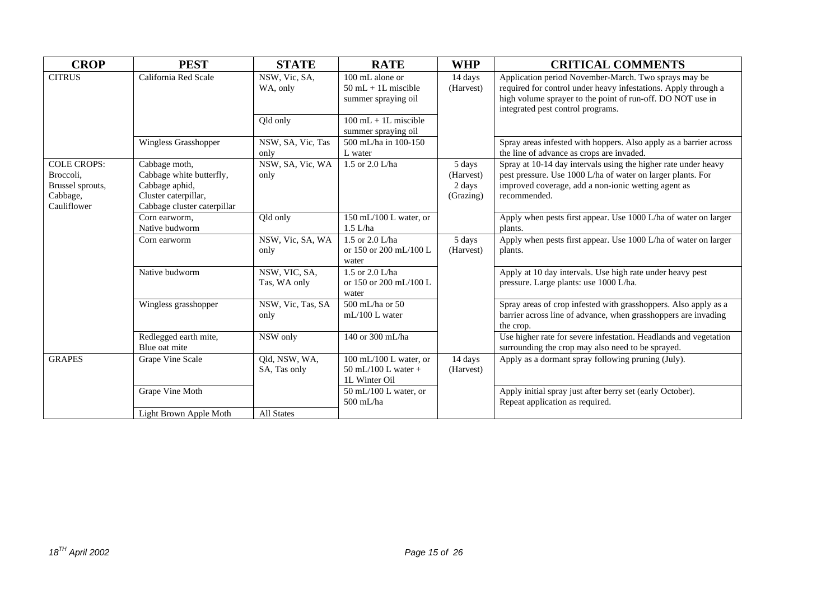| <b>CROP</b>                                                                    | <b>PEST</b>                                                                                                        | <b>STATE</b>                  | <b>RATE</b>                                                               | <b>WHP</b>                                 | <b>CRITICAL COMMENTS</b>                                                                                                                                                                                                  |
|--------------------------------------------------------------------------------|--------------------------------------------------------------------------------------------------------------------|-------------------------------|---------------------------------------------------------------------------|--------------------------------------------|---------------------------------------------------------------------------------------------------------------------------------------------------------------------------------------------------------------------------|
| <b>CITRUS</b>                                                                  | California Red Scale                                                                                               | NSW, Vic, SA,<br>WA, only     | $100 \text{ mL}$ alone or<br>$50$ mL + 1L miscible<br>summer spraying oil | 14 days<br>(Harvest)                       | Application period November-March. Two sprays may be<br>required for control under heavy infestations. Apply through a<br>high volume sprayer to the point of run-off. DO NOT use in<br>integrated pest control programs. |
|                                                                                |                                                                                                                    | Qld only                      | $100 \text{ mL} + 1$ L miscible<br>summer spraying oil                    |                                            |                                                                                                                                                                                                                           |
|                                                                                | Wingless Grasshopper                                                                                               | NSW, SA, Vic, Tas<br>only     | 500 mL/ha in 100-150<br>L water                                           |                                            | Spray areas infested with hoppers. Also apply as a barrier across<br>the line of advance as crops are invaded.                                                                                                            |
| <b>COLE CROPS:</b><br>Broccoli,<br>Brussel sprouts,<br>Cabbage,<br>Cauliflower | Cabbage moth,<br>Cabbage white butterfly,<br>Cabbage aphid,<br>Cluster caterpillar,<br>Cabbage cluster caterpillar | NSW, SA, Vic, WA<br>only      | 1.5 or 2.0 L/ha                                                           | 5 days<br>(Harvest)<br>2 days<br>(Grazing) | Spray at 10-14 day intervals using the higher rate under heavy<br>pest pressure. Use 1000 L/ha of water on larger plants. For<br>improved coverage, add a non-ionic wetting agent as<br>recommended.                      |
|                                                                                | Corn earworm.<br>Native budworm                                                                                    | Qld only                      | 150 mL/100 L water, or<br>$1.5$ L/ha                                      |                                            | Apply when pests first appear. Use 1000 L/ha of water on larger<br>plants.                                                                                                                                                |
|                                                                                | Corn earworm                                                                                                       | NSW, Vic, SA, WA<br>only      | 1.5 or $2.0$ L/ha<br>or 150 or 200 mL/100 L<br>water                      | 5 days<br>(Harvest)                        | Apply when pests first appear. Use 1000 L/ha of water on larger<br>plants.                                                                                                                                                |
|                                                                                | Native budworm                                                                                                     | NSW, VIC, SA,<br>Tas, WA only | 1.5 or 2.0 L/ha<br>or 150 or 200 mL/100 L<br>water                        |                                            | Apply at 10 day intervals. Use high rate under heavy pest<br>pressure. Large plants: use 1000 L/ha.                                                                                                                       |
|                                                                                | Wingless grasshopper                                                                                               | NSW, Vic, Tas, SA<br>only     | 500 mL/ha or 50<br>$mL/100$ L water                                       |                                            | Spray areas of crop infested with grasshoppers. Also apply as a<br>barrier across line of advance, when grasshoppers are invading<br>the crop.                                                                            |
|                                                                                | Redlegged earth mite,<br>Blue oat mite                                                                             | NSW only                      | 140 or 300 mL/ha                                                          |                                            | Use higher rate for severe infestation. Headlands and vegetation<br>surrounding the crop may also need to be sprayed.                                                                                                     |
| <b>GRAPES</b>                                                                  | Grape Vine Scale                                                                                                   | Qld, NSW, WA,<br>SA, Tas only | 100 mL/100 L water, or<br>$50$ mL/100 L water +<br>1L Winter Oil          | 14 days<br>(Harvest)                       | Apply as a dormant spray following pruning (July).                                                                                                                                                                        |
|                                                                                | Grape Vine Moth                                                                                                    |                               | 50 mL/100 L water, or<br>500 mL/ha                                        |                                            | Apply initial spray just after berry set (early October).<br>Repeat application as required.                                                                                                                              |
|                                                                                | Light Brown Apple Moth                                                                                             | <b>All States</b>             |                                                                           |                                            |                                                                                                                                                                                                                           |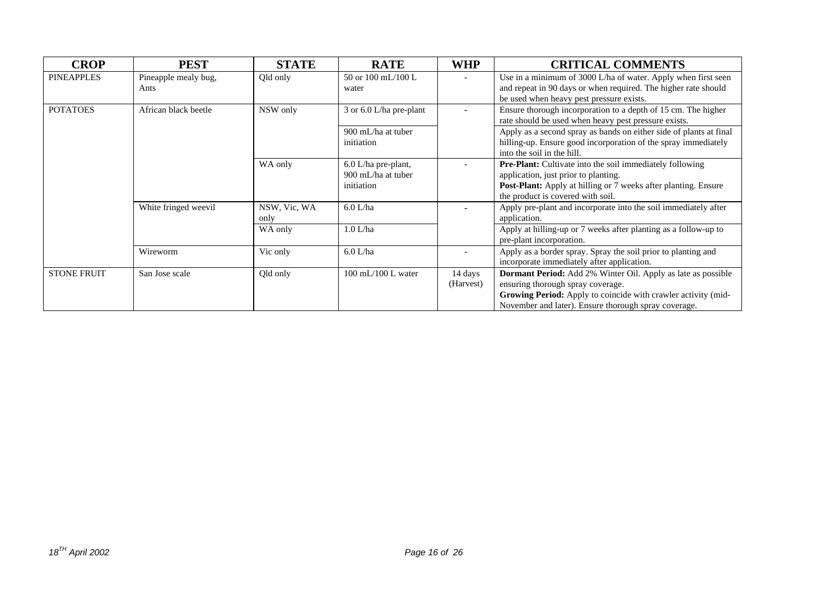| <b>CROP</b>        | <b>PEST</b>                  | <b>STATE</b>         | <b>RATE</b>                                               | <b>WHP</b>               | <b>CRITICAL COMMENTS</b>                                                                                                                                                                                                          |
|--------------------|------------------------------|----------------------|-----------------------------------------------------------|--------------------------|-----------------------------------------------------------------------------------------------------------------------------------------------------------------------------------------------------------------------------------|
| <b>PINEAPPLES</b>  | Pineapple mealy bug,<br>Ants | Qld only             | 50 or 100 mL/100 L<br>water                               |                          | Use in a minimum of 3000 L/ha of water. Apply when first seen<br>and repeat in 90 days or when required. The higher rate should<br>be used when heavy pest pressure exists.                                                       |
| <b>POTATOES</b>    | African black beetle         | NSW only             | 3 or 6.0 L/ha pre-plant                                   |                          | Ensure thorough incorporation to a depth of 15 cm. The higher<br>rate should be used when heavy pest pressure exists.                                                                                                             |
|                    |                              |                      | 900 mL/ha at tuber<br>initiation                          |                          | Apply as a second spray as bands on either side of plants at final<br>hilling-up. Ensure good incorporation of the spray immediately<br>into the soil in the hill.                                                                |
|                    |                              | WA only              | $6.0$ L/ha pre-plant,<br>900 mL/ha at tuber<br>initiation |                          | <b>Pre-Plant:</b> Cultivate into the soil immediately following<br>application, just prior to planting.<br>Post-Plant: Apply at hilling or 7 weeks after planting. Ensure<br>the product is covered with soil.                    |
|                    | White fringed weevil         | NSW, Vic, WA<br>only | $6.0$ L/ha                                                |                          | Apply pre-plant and incorporate into the soil immediately after<br>application.                                                                                                                                                   |
|                    |                              | WA only              | 1.0 L/ha                                                  |                          | Apply at hilling-up or 7 weeks after planting as a follow-up to<br>pre-plant incorporation.                                                                                                                                       |
|                    | Wireworm                     | Vic only             | $6.0$ L/ha                                                | $\overline{\phantom{a}}$ | Apply as a border spray. Spray the soil prior to planting and<br>incorporate immediately after application.                                                                                                                       |
| <b>STONE FRUIT</b> | San Jose scale               | Qld only             | $100 \text{ mL} / 100 \text{ L water}$                    | 14 days<br>(Harvest)     | Dormant Period: Add 2% Winter Oil. Apply as late as possible<br>ensuring thorough spray coverage.<br><b>Growing Period:</b> Apply to coincide with crawler activity (mid-<br>November and later). Ensure thorough spray coverage. |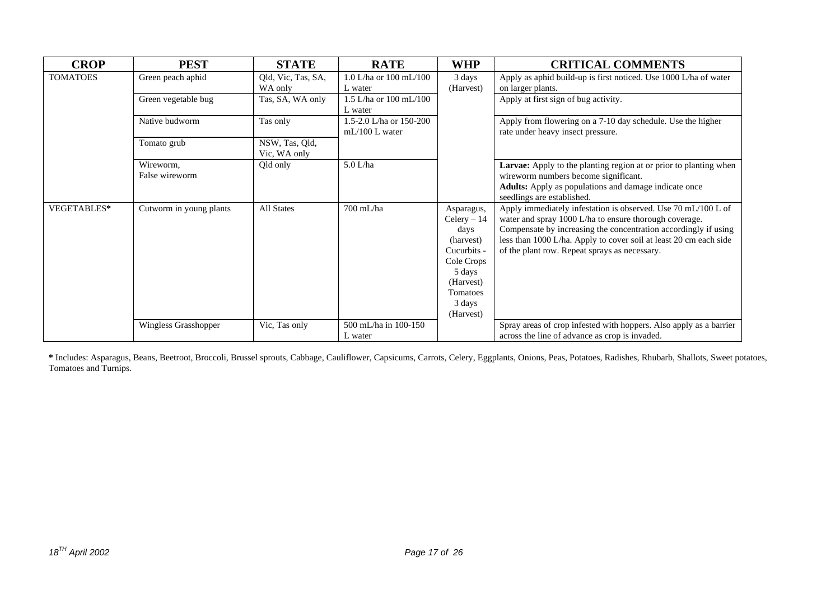| <b>CROP</b>     | <b>PEST</b>                 | <b>STATE</b>                   | <b>RATE</b>                                 | <b>WHP</b>                                                                                                                              | <b>CRITICAL COMMENTS</b>                                                                                                                                                                                                                                                                                         |
|-----------------|-----------------------------|--------------------------------|---------------------------------------------|-----------------------------------------------------------------------------------------------------------------------------------------|------------------------------------------------------------------------------------------------------------------------------------------------------------------------------------------------------------------------------------------------------------------------------------------------------------------|
| <b>TOMATOES</b> | Green peach aphid           | Qld, Vic, Tas, SA,<br>WA only  | 1.0 L/ha or $100 \text{ mL}/100$<br>L water | 3 days<br>(Harvest)                                                                                                                     | Apply as aphid build-up is first noticed. Use 1000 L/ha of water<br>on larger plants.                                                                                                                                                                                                                            |
|                 | Green vegetable bug         | Tas, SA, WA only               | 1.5 L/ha or $100 \text{ mL}/100$<br>L water |                                                                                                                                         | Apply at first sign of bug activity.                                                                                                                                                                                                                                                                             |
|                 | Native budworm              | Tas only                       | 1.5-2.0 L/ha or 150-200<br>$mL/100$ L water |                                                                                                                                         | Apply from flowering on a 7-10 day schedule. Use the higher<br>rate under heavy insect pressure.                                                                                                                                                                                                                 |
|                 | Tomato grub                 | NSW, Tas, Qld,<br>Vic, WA only |                                             |                                                                                                                                         |                                                                                                                                                                                                                                                                                                                  |
|                 | Wireworm,<br>False wireworm | Qld only                       | $5.0$ L/ha                                  |                                                                                                                                         | <b>Larvae:</b> Apply to the planting region at or prior to planting when<br>wireworm numbers become significant.<br>Adults: Apply as populations and damage indicate once<br>seedlings are established.                                                                                                          |
| VEGETABLES*     | Cutworm in young plants     | All States                     | 700 mL/ha                                   | Asparagus,<br>$Celery - 14$<br>days<br>(harvest)<br>Cucurbits -<br>Cole Crops<br>5 days<br>(Harvest)<br>Tomatoes<br>3 days<br>(Harvest) | Apply immediately infestation is observed. Use 70 mL/100 L of<br>water and spray 1000 L/ha to ensure thorough coverage.<br>Compensate by increasing the concentration accordingly if using<br>less than 1000 L/ha. Apply to cover soil at least 20 cm each side<br>of the plant row. Repeat sprays as necessary. |
|                 | Wingless Grasshopper        | Vic, Tas only                  | 500 mL/ha in 100-150<br>L water             |                                                                                                                                         | Spray areas of crop infested with hoppers. Also apply as a barrier<br>across the line of advance as crop is invaded.                                                                                                                                                                                             |

**\*** Includes: Asparagus, Beans, Beetroot, Broccoli, Brussel sprouts, Cabbage, Cauliflower, Capsicums, Carrots, Celery, Eggplants, Onions, Peas, Potatoes, Radishes, Rhubarb, Shallots, Sweet potatoes, Tomatoes and Turnips.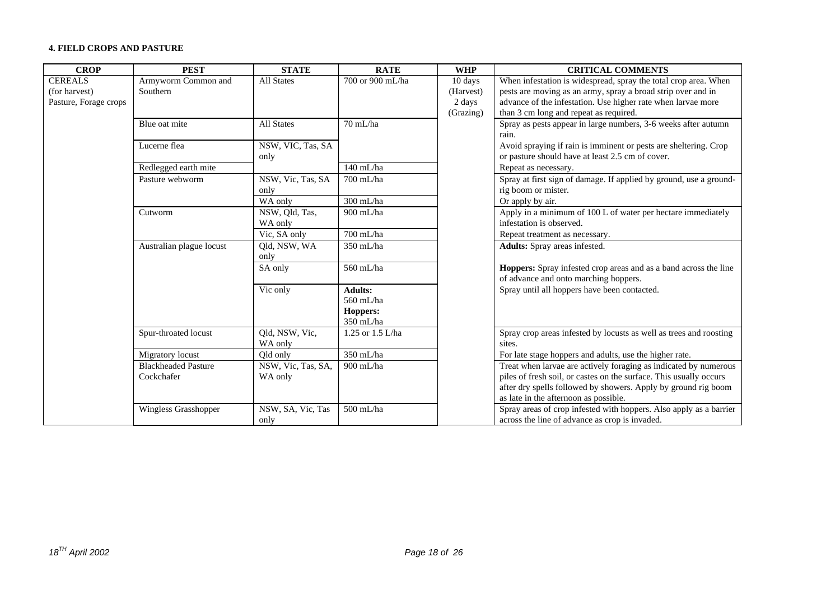#### **4. FIELD CROPS AND PASTURE**

| <b>CROP</b>                                              | <b>PEST</b>                              | <b>STATE</b>                  | <b>RATE</b>                                          | <b>WHP</b>                                  | <b>CRITICAL COMMENTS</b>                                                                                                                                                                                                                          |
|----------------------------------------------------------|------------------------------------------|-------------------------------|------------------------------------------------------|---------------------------------------------|---------------------------------------------------------------------------------------------------------------------------------------------------------------------------------------------------------------------------------------------------|
| <b>CEREALS</b><br>(for harvest)<br>Pasture, Forage crops | Armyworm Common and<br>Southern          | <b>All States</b>             | 700 or 900 mL/ha                                     | 10 days<br>(Harvest)<br>2 days<br>(Grazing) | When infestation is widespread, spray the total crop area. When<br>pests are moving as an army, spray a broad strip over and in<br>advance of the infestation. Use higher rate when larvae more<br>than 3 cm long and repeat as required.         |
|                                                          | Blue oat mite                            | <b>All States</b>             | 70 mL/ha                                             |                                             | Spray as pests appear in large numbers, 3-6 weeks after autumn<br>rain.                                                                                                                                                                           |
|                                                          | Lucerne flea                             | NSW, VIC, Tas, SA<br>only     |                                                      |                                             | Avoid spraying if rain is imminent or pests are sheltering. Crop<br>or pasture should have at least 2.5 cm of cover.                                                                                                                              |
|                                                          | Redlegged earth mite                     |                               | 140 mL/ha                                            |                                             | Repeat as necessary.                                                                                                                                                                                                                              |
|                                                          | Pasture webworm                          | NSW, Vic, Tas, SA<br>only     | 700 mL/ha                                            |                                             | Spray at first sign of damage. If applied by ground, use a ground-<br>rig boom or mister.                                                                                                                                                         |
|                                                          |                                          | WA only                       | $300$ mL/ha                                          |                                             | Or apply by air.                                                                                                                                                                                                                                  |
|                                                          | Cutworm                                  | NSW, Qld, Tas,<br>WA only     | 900 mL/ha                                            |                                             | Apply in a minimum of 100 L of water per hectare immediately<br>infestation is observed.                                                                                                                                                          |
|                                                          |                                          | Vic, SA only                  | 700 mL/ha                                            |                                             | Repeat treatment as necessary.                                                                                                                                                                                                                    |
|                                                          | Australian plague locust                 | Qld, NSW, WA<br>only          | $350$ mL/ha                                          |                                             | Adults: Spray areas infested.                                                                                                                                                                                                                     |
|                                                          |                                          | SA only                       | 560 mL/ha                                            |                                             | Hoppers: Spray infested crop areas and as a band across the line<br>of advance and onto marching hoppers.                                                                                                                                         |
|                                                          |                                          | Vic only                      | <b>Adults:</b><br>560 mL/ha<br>Hoppers:<br>350 mL/ha |                                             | Spray until all hoppers have been contacted.                                                                                                                                                                                                      |
|                                                          | Spur-throated locust                     | Qld, NSW, Vic,<br>WA only     | 1.25 or 1.5 L/ha                                     |                                             | Spray crop areas infested by locusts as well as trees and roosting<br>sites.                                                                                                                                                                      |
|                                                          | Migratory locust                         | Qld only                      | 350 mL/ha                                            |                                             | For late stage hoppers and adults, use the higher rate.                                                                                                                                                                                           |
|                                                          | <b>Blackheaded Pasture</b><br>Cockchafer | NSW, Vic, Tas, SA,<br>WA only | $900$ mL/ha                                          |                                             | Treat when larvae are actively foraging as indicated by numerous<br>piles of fresh soil, or castes on the surface. This usually occurs<br>after dry spells followed by showers. Apply by ground rig boom<br>as late in the afternoon as possible. |
|                                                          | Wingless Grasshopper                     | NSW, SA, Vic, Tas<br>only     | $500$ mL/ha                                          |                                             | Spray areas of crop infested with hoppers. Also apply as a barrier<br>across the line of advance as crop is invaded.                                                                                                                              |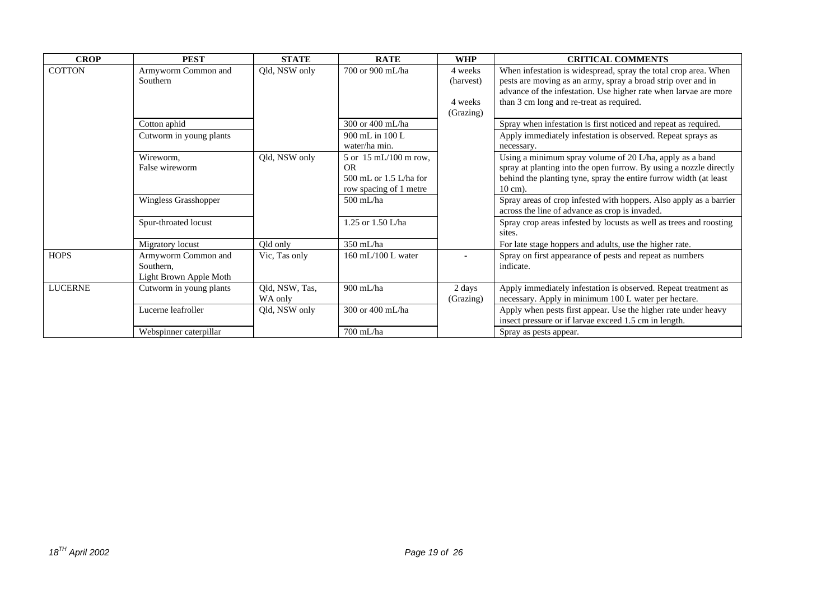| <b>CROP</b>    | <b>PEST</b>                                                | <b>STATE</b>              | <b>RATE</b>                                                                                | <b>WHP</b>                                   | <b>CRITICAL COMMENTS</b>                                                                                                                                                                                                                        |
|----------------|------------------------------------------------------------|---------------------------|--------------------------------------------------------------------------------------------|----------------------------------------------|-------------------------------------------------------------------------------------------------------------------------------------------------------------------------------------------------------------------------------------------------|
| <b>COTTON</b>  | Armyworm Common and<br>Southern                            | Old, NSW only             | 700 or 900 mL/ha                                                                           | 4 weeks<br>(harvest)<br>4 weeks<br>(Grazing) | When infestation is widespread, spray the total crop area. When<br>pests are moving as an army, spray a broad strip over and in<br>advance of the infestation. Use higher rate when larvae are more<br>than 3 cm long and re-treat as required. |
|                | Cotton aphid                                               |                           | 300 or 400 mL/ha                                                                           |                                              | Spray when infestation is first noticed and repeat as required.                                                                                                                                                                                 |
|                | Cutworm in young plants                                    |                           | 900 mL in 100 L<br>water/ha min.                                                           |                                              | Apply immediately infestation is observed. Repeat sprays as<br>necessary.                                                                                                                                                                       |
|                | Wireworm,<br>False wireworm                                | Qld, NSW only             | 5 or 15 mL/100 m row,<br><b>OR</b><br>$500$ mL or $1.5$ L/ha for<br>row spacing of 1 metre |                                              | Using a minimum spray volume of 20 L/ha, apply as a band<br>spray at planting into the open furrow. By using a nozzle directly<br>behind the planting tyne, spray the entire furrow width (at least<br>$10 \text{ cm}$ ).                       |
|                | Wingless Grasshopper                                       |                           | $500$ mL/ha                                                                                |                                              | Spray areas of crop infested with hoppers. Also apply as a barrier<br>across the line of advance as crop is invaded.                                                                                                                            |
|                | Spur-throated locust                                       |                           | 1.25 or $1.50$ L/ha                                                                        |                                              | Spray crop areas infested by locusts as well as trees and roosting<br>sites.                                                                                                                                                                    |
|                | Migratory locust                                           | Qld only                  | $350$ mL/ha                                                                                |                                              | For late stage hoppers and adults, use the higher rate.                                                                                                                                                                                         |
| <b>HOPS</b>    | Armyworm Common and<br>Southern,<br>Light Brown Apple Moth | Vic, Tas only             | $160$ mL/ $100$ L water                                                                    |                                              | Spray on first appearance of pests and repeat as numbers<br>indicate.                                                                                                                                                                           |
| <b>LUCERNE</b> | Cutworm in young plants                                    | Qld, NSW, Tas,<br>WA only | 900 mL/ha                                                                                  | 2 days<br>(Grazing)                          | Apply immediately infestation is observed. Repeat treatment as<br>necessary. Apply in minimum 100 L water per hectare.                                                                                                                          |
|                | Lucerne leafroller                                         | Qld, NSW only             | 300 or 400 mL/ha                                                                           |                                              | Apply when pests first appear. Use the higher rate under heavy<br>insect pressure or if larvae exceed 1.5 cm in length.                                                                                                                         |
|                | Webspinner caterpillar                                     |                           | 700 mL/ha                                                                                  |                                              | Spray as pests appear.                                                                                                                                                                                                                          |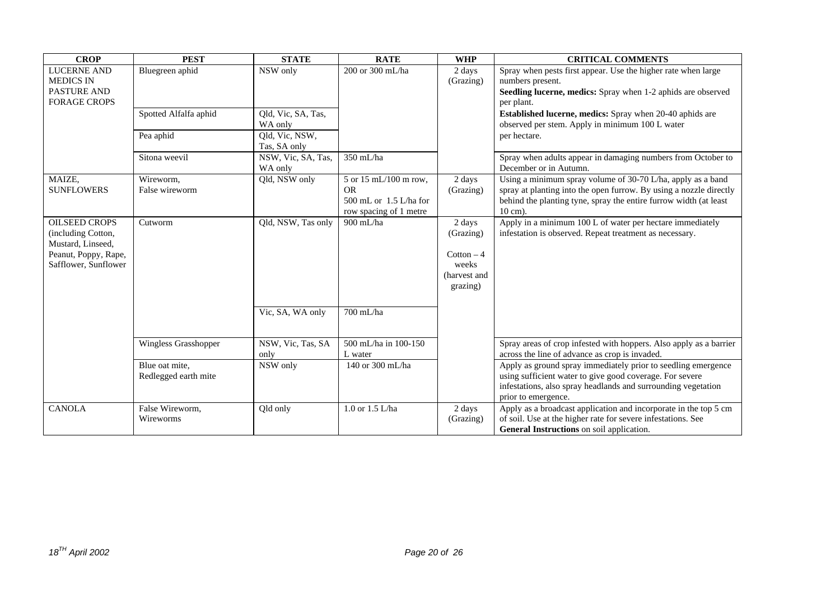| <b>CROP</b>                                                                                                     | <b>PEST</b>                            | <b>STATE</b>                   | <b>RATE</b>                                                                            | <b>WHP</b>                                                               | <b>CRITICAL COMMENTS</b>                                                                                                                                                                                                     |
|-----------------------------------------------------------------------------------------------------------------|----------------------------------------|--------------------------------|----------------------------------------------------------------------------------------|--------------------------------------------------------------------------|------------------------------------------------------------------------------------------------------------------------------------------------------------------------------------------------------------------------------|
| <b>LUCERNE AND</b><br><b>MEDICS IN</b><br><b>PASTURE AND</b><br><b>FORAGE CROPS</b>                             | Bluegreen aphid                        | $\overline{\text{NSW}}$ only   | 200 or 300 mL/ha                                                                       | 2 days<br>(Grazing)                                                      | Spray when pests first appear. Use the higher rate when large<br>numbers present.<br>Seedling lucerne, medics: Spray when 1-2 aphids are observed<br>per plant.                                                              |
|                                                                                                                 | Spotted Alfalfa aphid                  | Qld, Vic, SA, Tas,<br>WA only  |                                                                                        |                                                                          | Established lucerne, medics: Spray when 20-40 aphids are<br>observed per stem. Apply in minimum 100 L water                                                                                                                  |
|                                                                                                                 | Pea aphid                              | Qld, Vic, NSW,<br>Tas, SA only |                                                                                        |                                                                          | per hectare.                                                                                                                                                                                                                 |
|                                                                                                                 | Sitona weevil                          | NSW, Vic, SA, Tas,<br>WA only  | $350$ mL/ha                                                                            |                                                                          | Spray when adults appear in damaging numbers from October to<br>December or in Autumn.                                                                                                                                       |
| MAIZE,<br><b>SUNFLOWERS</b>                                                                                     | Wireworm,<br>False wireworm            | Qld, NSW only                  | 5 or 15 mL/100 m row,<br><b>OR</b><br>500 mL or 1.5 L/ha for<br>row spacing of 1 metre | 2 days<br>(Grazing)                                                      | Using a minimum spray volume of 30-70 L/ha, apply as a band<br>spray at planting into the open furrow. By using a nozzle directly<br>behind the planting tyne, spray the entire furrow width (at least<br>$10 \text{ cm}$ ). |
| <b>OILSEED CROPS</b><br>(including Cotton,<br>Mustard, Linseed,<br>Peanut, Poppy, Rape,<br>Safflower, Sunflower | Cutworm                                | Qld, NSW, Tas only             | 900 mL/ha                                                                              | 2 days<br>(Grazing)<br>$Cottom - 4$<br>weeks<br>(harvest and<br>grazing) | Apply in a minimum 100 L of water per hectare immediately<br>infestation is observed. Repeat treatment as necessary.                                                                                                         |
|                                                                                                                 |                                        | Vic, SA, WA only               | 700 mL/ha                                                                              |                                                                          |                                                                                                                                                                                                                              |
|                                                                                                                 | Wingless Grasshopper                   | NSW, Vic, Tas, SA<br>only      | 500 mL/ha in 100-150<br>L water                                                        |                                                                          | Spray areas of crop infested with hoppers. Also apply as a barrier<br>across the line of advance as crop is invaded.                                                                                                         |
|                                                                                                                 | Blue oat mite.<br>Redlegged earth mite | NSW only                       | 140 or 300 mL/ha                                                                       |                                                                          | Apply as ground spray immediately prior to seedling emergence<br>using sufficient water to give good coverage. For severe<br>infestations, also spray headlands and surrounding vegetation<br>prior to emergence.            |
| <b>CANOLA</b>                                                                                                   | False Wireworm,<br>Wireworms           | Qld only                       | 1.0 or 1.5 L/ha                                                                        | 2 days<br>(Grazing)                                                      | Apply as a broadcast application and incorporate in the top 5 cm<br>of soil. Use at the higher rate for severe infestations. See<br><b>General Instructions</b> on soil application.                                         |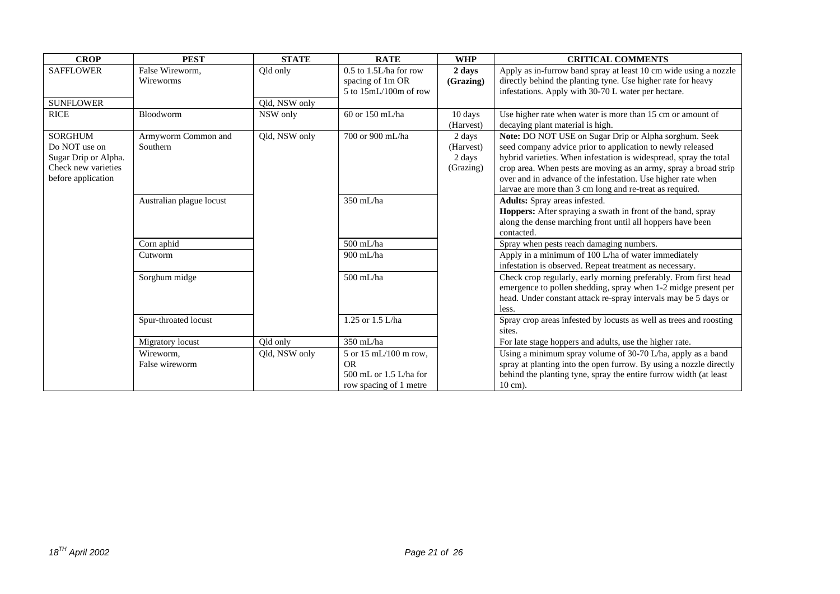| <b>CROP</b>          | <b>PEST</b>              | <b>STATE</b>  | <b>RATE</b>                | <b>WHP</b> | <b>CRITICAL COMMENTS</b>                                                                                                 |
|----------------------|--------------------------|---------------|----------------------------|------------|--------------------------------------------------------------------------------------------------------------------------|
| <b>SAFFLOWER</b>     | False Wireworm,          | Qld only      | $0.5$ to $1.5L/ha$ for row | 2 days     | Apply as in-furrow band spray at least 10 cm wide using a nozzle                                                         |
|                      | Wireworms                |               | spacing of 1m OR           | (Grazing)  | directly behind the planting tyne. Use higher rate for heavy                                                             |
|                      |                          |               | $5$ to $15mL/100m$ of row  |            | infestations. Apply with 30-70 L water per hectare.                                                                      |
| <b>SUNFLOWER</b>     |                          | Qld, NSW only |                            |            |                                                                                                                          |
| <b>RICE</b>          | Bloodworm                | NSW only      | 60 or 150 mL/ha            | 10 days    | Use higher rate when water is more than 15 cm or amount of                                                               |
|                      |                          |               |                            | (Harvest)  | decaying plant material is high.                                                                                         |
| <b>SORGHUM</b>       | Armyworm Common and      | Qld, NSW only | 700 or 900 mL/ha           | 2 days     | Note: DO NOT USE on Sugar Drip or Alpha sorghum. Seek                                                                    |
| Do NOT use on        | Southern                 |               |                            | (Harvest)  | seed company advice prior to application to newly released                                                               |
| Sugar Drip or Alpha. |                          |               |                            | 2 days     | hybrid varieties. When infestation is widespread, spray the total                                                        |
| Check new varieties  |                          |               |                            | (Grazing)  | crop area. When pests are moving as an army, spray a broad strip                                                         |
| before application   |                          |               |                            |            | over and in advance of the infestation. Use higher rate when<br>larvae are more than 3 cm long and re-treat as required. |
|                      | Australian plague locust |               | 350 mL/ha                  |            | Adults: Spray areas infested.                                                                                            |
|                      |                          |               |                            |            | Hoppers: After spraying a swath in front of the band, spray                                                              |
|                      |                          |               |                            |            | along the dense marching front until all hoppers have been                                                               |
|                      |                          |               |                            |            | contacted.                                                                                                               |
|                      | Corn aphid               |               | $500$ mL/ha                |            | Spray when pests reach damaging numbers.                                                                                 |
|                      | Cutworm                  |               | 900 mL/ha                  |            | Apply in a minimum of 100 L/ha of water immediately                                                                      |
|                      |                          |               |                            |            | infestation is observed. Repeat treatment as necessary.                                                                  |
|                      | Sorghum midge            |               | 500 mL/ha                  |            | Check crop regularly, early morning preferably. From first head                                                          |
|                      |                          |               |                            |            | emergence to pollen shedding, spray when 1-2 midge present per                                                           |
|                      |                          |               |                            |            | head. Under constant attack re-spray intervals may be 5 days or                                                          |
|                      |                          |               |                            |            | less.                                                                                                                    |
|                      | Spur-throated locust     |               | 1.25 or 1.5 L/ha           |            | Spray crop areas infested by locusts as well as trees and roosting                                                       |
|                      |                          |               |                            |            | sites.                                                                                                                   |
|                      | Migratory locust         | Qld only      | 350 mL/ha                  |            | For late stage hoppers and adults, use the higher rate.                                                                  |
|                      | Wireworm.                | Qld, NSW only | 5 or 15 mL/100 m row,      |            | Using a minimum spray volume of 30-70 L/ha, apply as a band                                                              |
|                      | False wireworm           |               | <b>OR</b>                  |            | spray at planting into the open furrow. By using a nozzle directly                                                       |
|                      |                          |               | 500 mL or $1.5$ L/ha for   |            | behind the planting tyne, spray the entire furrow width (at least                                                        |
|                      |                          |               | row spacing of 1 metre     |            | $10 \text{ cm}$ ).                                                                                                       |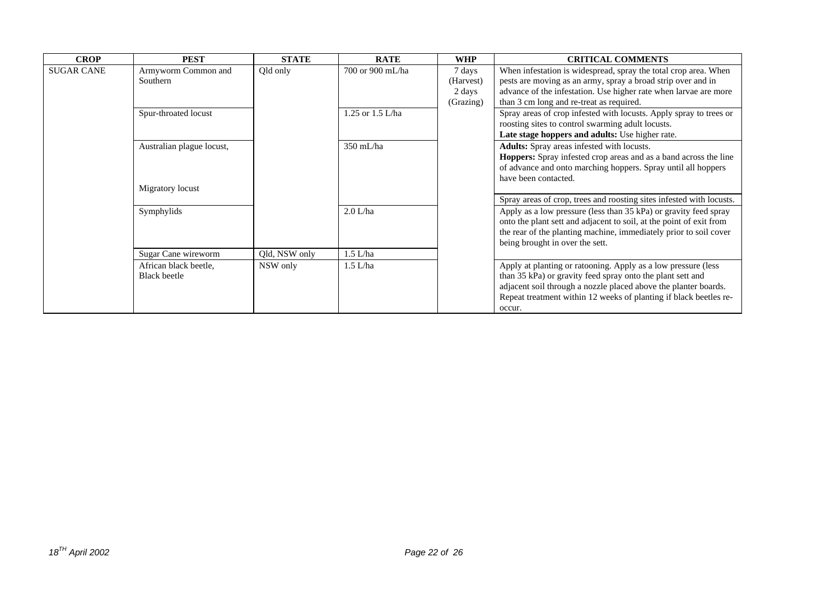| <b>CROP</b>       | <b>PEST</b>               | <b>STATE</b>  | <b>RATE</b>      | <b>WHP</b> | <b>CRITICAL COMMENTS</b>                                             |
|-------------------|---------------------------|---------------|------------------|------------|----------------------------------------------------------------------|
| <b>SUGAR CANE</b> | Armyworm Common and       | Qld only      | 700 or 900 mL/ha | 7 days     | When infestation is widespread, spray the total crop area. When      |
|                   | Southern                  |               |                  | (Harvest)  | pests are moving as an army, spray a broad strip over and in         |
|                   |                           |               |                  | 2 days     | advance of the infestation. Use higher rate when larvae are more     |
|                   |                           |               |                  | (Grazing)  | than 3 cm long and re-treat as required.                             |
|                   | Spur-throated locust      |               | 1.25 or 1.5 L/ha |            | Spray areas of crop infested with locusts. Apply spray to trees or   |
|                   |                           |               |                  |            | roosting sites to control swarming adult locusts.                    |
|                   |                           |               |                  |            | Late stage hoppers and adults: Use higher rate.                      |
|                   | Australian plague locust, |               | $350$ mL/ha      |            | Adults: Spray areas infested with locusts.                           |
|                   |                           |               |                  |            | Hoppers: Spray infested crop areas and as a band across the line     |
|                   |                           |               |                  |            | of advance and onto marching hoppers. Spray until all hoppers        |
|                   |                           |               |                  |            | have been contacted.                                                 |
|                   | Migratory locust          |               |                  |            |                                                                      |
|                   |                           |               |                  |            | Spray areas of crop, trees and roosting sites infested with locusts. |
|                   | Symphylids                |               | 2.0 L/ha         |            | Apply as a low pressure (less than 35 kPa) or gravity feed spray     |
|                   |                           |               |                  |            | onto the plant sett and adjacent to soil, at the point of exit from  |
|                   |                           |               |                  |            | the rear of the planting machine, immediately prior to soil cover    |
|                   |                           |               |                  |            | being brought in over the sett.                                      |
|                   | Sugar Cane wireworm       | Qld, NSW only | $1.5$ L/ha       |            |                                                                      |
|                   | African black beetle,     | NSW only      | $1.5$ L/ha       |            | Apply at planting or ratooning. Apply as a low pressure (less        |
|                   | <b>Black</b> beetle       |               |                  |            | than 35 kPa) or gravity feed spray onto the plant sett and           |
|                   |                           |               |                  |            | adjacent soil through a nozzle placed above the planter boards.      |
|                   |                           |               |                  |            | Repeat treatment within 12 weeks of planting if black beetles re-    |
|                   |                           |               |                  |            | occur.                                                               |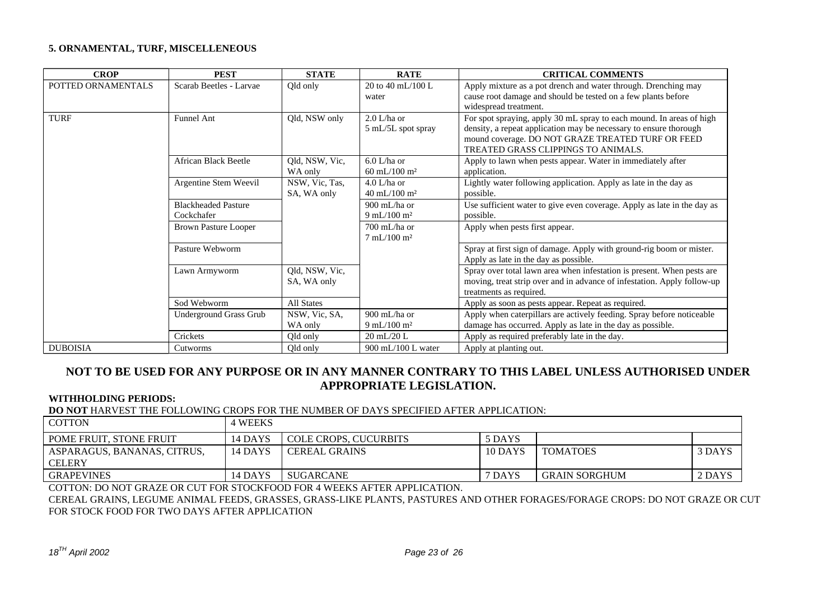#### **5. ORNAMENTAL, TURF, MISCELLENEOUS**

| <b>CROP</b>        | <b>PEST</b>                              | <b>STATE</b>                  | <b>RATE</b>                                              | <b>CRITICAL COMMENTS</b>                                                                                                                                                                                                              |
|--------------------|------------------------------------------|-------------------------------|----------------------------------------------------------|---------------------------------------------------------------------------------------------------------------------------------------------------------------------------------------------------------------------------------------|
| POTTED ORNAMENTALS | Scarab Beetles - Larvae                  | Qld only                      | 20 to 40 mL/100 L<br>water                               | Apply mixture as a pot drench and water through. Drenching may<br>cause root damage and should be tested on a few plants before<br>widespread treatment.                                                                              |
| <b>TURF</b>        | <b>Funnel Ant</b>                        | Qld, NSW only                 | $2.0$ L/ha or<br>5 mL/5L spot spray                      | For spot spraying, apply 30 mL spray to each mound. In areas of high<br>density, a repeat application may be necessary to ensure thorough<br>mound coverage. DO NOT GRAZE TREATED TURF OR FEED<br>TREATED GRASS CLIPPINGS TO ANIMALS. |
|                    | African Black Beetle                     | Qld, NSW, Vic,<br>WA only     | $6.0$ L/ha or<br>60 mL/100 m <sup>2</sup>                | Apply to lawn when pests appear. Water in immediately after<br>application.                                                                                                                                                           |
|                    | Argentine Stem Weevil                    | NSW, Vic, Tas,<br>SA, WA only | $4.0$ L/ha or<br>$40 \text{ mL}/100 \text{ m}^2$         | Lightly water following application. Apply as late in the day as<br>possible.                                                                                                                                                         |
|                    | <b>Blackheaded Pasture</b><br>Cockchafer |                               | 900 mL/ha or<br>$9 \text{ mL} / 100 \text{ m}^2$         | Use sufficient water to give even coverage. Apply as late in the day as<br>possible.                                                                                                                                                  |
|                    | <b>Brown Pasture Looper</b>              |                               | $700 \text{ mL/ha}$ or<br>$7 \text{ mL}/100 \text{ m}^2$ | Apply when pests first appear.                                                                                                                                                                                                        |
|                    | Pasture Webworm                          |                               |                                                          | Spray at first sign of damage. Apply with ground-rig boom or mister.<br>Apply as late in the day as possible.                                                                                                                         |
|                    | Lawn Armyworm                            | Qld, NSW, Vic,<br>SA, WA only |                                                          | Spray over total lawn area when infestation is present. When pests are<br>moving, treat strip over and in advance of infestation. Apply follow-up<br>treatments as required.                                                          |
|                    | Sod Webworm                              | All States                    |                                                          | Apply as soon as pests appear. Repeat as required.                                                                                                                                                                                    |
|                    | Underground Grass Grub                   | NSW, Vic, SA,                 | $900 \text{ mL/ha}$ or                                   | Apply when caterpillars are actively feeding. Spray before noticeable                                                                                                                                                                 |
|                    |                                          | WA only                       | $9 \text{ mL}/100 \text{ m}^2$                           | damage has occurred. Apply as late in the day as possible.                                                                                                                                                                            |
|                    | Crickets                                 | Qld only                      | $20 \text{ mL} / 20 \text{ L}$                           | Apply as required preferably late in the day.                                                                                                                                                                                         |
| <b>DUBOISIA</b>    | Cutworms                                 | Qld only                      | $900$ mL/100 L water                                     | Apply at planting out.                                                                                                                                                                                                                |

### **NOT TO BE USED FOR ANY PURPOSE OR IN ANY MANNER CONTRARY TO THIS LABEL UNLESS AUTHORISED UNDER APPROPRIATE LEGISLATION.**

#### **WITHHOLDING PERIODS:**

#### **DO NOT** HARVEST THE FOLLOWING CROPS FOR THE NUMBER OF DAYS SPECIFIED AFTER APPLICATION:

| <b>COTTON</b>                  | <b>WEEKS</b> |                       |         |                      |        |
|--------------------------------|--------------|-----------------------|---------|----------------------|--------|
| <b>POME FRUIT. STONE FRUIT</b> | 14 DAYS      | COLE CROPS, CUCURBITS | 5 DAYS  |                      |        |
| ASPARAGUS, BANANAS, CITRUS,    | 14 DAYS      | <b>CEREAL GRAINS</b>  | 10 DAYS | <b>TOMATOES</b>      | 3 DAYS |
| <b>CELERY</b>                  |              |                       |         |                      |        |
| <b>GRAPEVINES</b>              | 14 DAYS      | SUGARCANE             | 7 DAYS  | <b>GRAIN SORGHUM</b> | 2 DAYS |

COTTON: DO NOT GRAZE OR CUT FOR STOCKFOOD FOR 4 WEEKS AFTER APPLICATION.

CEREAL GRAINS, LEGUME ANIMAL FEEDS, GRASSES, GRASS-LIKE PLANTS, PASTURES AND OTHER FORAGES/FORAGE CROPS: DO NOT GRAZE OR CUT FOR STOCK FOOD FOR TWO DAYS AFTER APPLICATION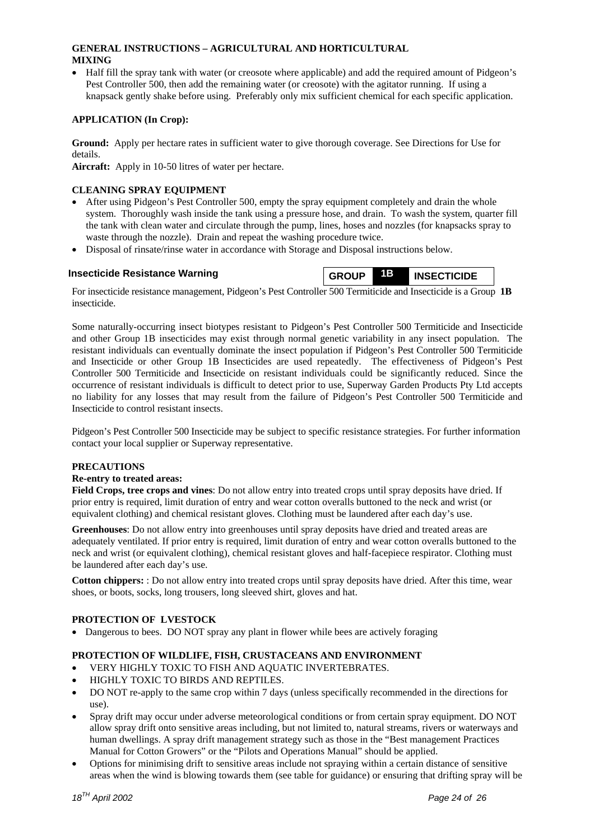#### **GENERAL INSTRUCTIONS – AGRICULTURAL AND HORTICULTURAL MIXING**

• Half fill the spray tank with water (or creosote where applicable) and add the required amount of Pidgeon's Pest Controller 500, then add the remaining water (or creosote) with the agitator running. If using a knapsack gently shake before using. Preferably only mix sufficient chemical for each specific application.

#### **APPLICATION (In Crop):**

**Ground:** Apply per hectare rates in sufficient water to give thorough coverage. See Directions for Use for details.

**Aircraft:** Apply in 10-50 litres of water per hectare.

#### **CLEANING SPRAY EQUIPMENT**

- After using Pidgeon's Pest Controller 500, empty the spray equipment completely and drain the whole system. Thoroughly wash inside the tank using a pressure hose, and drain. To wash the system, quarter fill the tank with clean water and circulate through the pump, lines, hoses and nozzles (for knapsacks spray to waste through the nozzle). Drain and repeat the washing procedure twice.
- Disposal of rinsate/rinse water in accordance with Storage and Disposal instructions below.



For insecticide resistance management, Pidgeon's Pest Controller 500 Termiticide and Insecticide is a Group **1B**  insecticide.

Some naturally-occurring insect biotypes resistant to Pidgeon's Pest Controller 500 Termiticide and Insecticide and other Group 1B insecticides may exist through normal genetic variability in any insect population. The resistant individuals can eventually dominate the insect population if Pidgeon's Pest Controller 500 Termiticide and Insecticide or other Group 1B Insecticides are used repeatedly. The effectiveness of Pidgeon's Pest Controller 500 Termiticide and Insecticide on resistant individuals could be significantly reduced. Since the occurrence of resistant individuals is difficult to detect prior to use, Superway Garden Products Pty Ltd accepts no liability for any losses that may result from the failure of Pidgeon's Pest Controller 500 Termiticide and Insecticide to control resistant insects.

Pidgeon's Pest Controller 500 Insecticide may be subject to specific resistance strategies. For further information contact your local supplier or Superway representative.

#### **PRECAUTIONS**

#### **Re-entry to treated areas:**

**Field Crops, tree crops and vines**: Do not allow entry into treated crops until spray deposits have dried. If prior entry is required, limit duration of entry and wear cotton overalls buttoned to the neck and wrist (or equivalent clothing) and chemical resistant gloves. Clothing must be laundered after each day's use.

**Greenhouses**: Do not allow entry into greenhouses until spray deposits have dried and treated areas are adequately ventilated. If prior entry is required, limit duration of entry and wear cotton overalls buttoned to the neck and wrist (or equivalent clothing), chemical resistant gloves and half-facepiece respirator. Clothing must be laundered after each day's use.

**Cotton chippers:** : Do not allow entry into treated crops until spray deposits have dried. After this time, wear shoes, or boots, socks, long trousers, long sleeved shirt, gloves and hat.

#### **PROTECTION OF LVESTOCK**

• Dangerous to bees. DO NOT spray any plant in flower while bees are actively foraging

#### **PROTECTION OF WILDLIFE, FISH, CRUSTACEANS AND ENVIRONMENT**

- VERY HIGHLY TOXIC TO FISH AND AQUATIC INVERTEBRATES.
- HIGHLY TOXIC TO BIRDS AND REPTILES.
- DO NOT re-apply to the same crop within 7 days (unless specifically recommended in the directions for use).
- Spray drift may occur under adverse meteorological conditions or from certain spray equipment. DO NOT allow spray drift onto sensitive areas including, but not limited to, natural streams, rivers or waterways and human dwellings. A spray drift management strategy such as those in the "Best management Practices Manual for Cotton Growers" or the "Pilots and Operations Manual" should be applied.
- Options for minimising drift to sensitive areas include not spraying within a certain distance of sensitive areas when the wind is blowing towards them (see table for guidance) or ensuring that drifting spray will be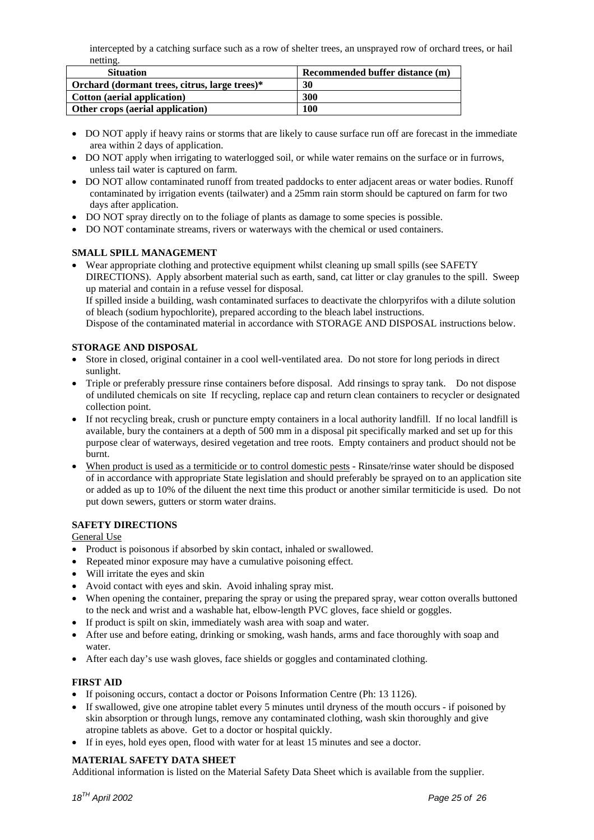intercepted by a catching surface such as a row of shelter trees, an unsprayed row of orchard trees, or hail netting.

| <b>Situation</b>                              | Recommended buffer distance (m) |  |  |
|-----------------------------------------------|---------------------------------|--|--|
| Orchard (dormant trees, citrus, large trees)* | 30                              |  |  |
| <b>Cotton</b> (aerial application)            | 300                             |  |  |
| Other crops (aerial application)              | 100                             |  |  |

- DO NOT apply if heavy rains or storms that are likely to cause surface run off are forecast in the immediate area within 2 days of application.
- DO NOT apply when irrigating to waterlogged soil, or while water remains on the surface or in furrows, unless tail water is captured on farm.
- DO NOT allow contaminated runoff from treated paddocks to enter adjacent areas or water bodies. Runoff contaminated by irrigation events (tailwater) and a 25mm rain storm should be captured on farm for two days after application.
- DO NOT spray directly on to the foliage of plants as damage to some species is possible.
- DO NOT contaminate streams, rivers or waterways with the chemical or used containers.

#### **SMALL SPILL MANAGEMENT**

• Wear appropriate clothing and protective equipment whilst cleaning up small spills (see SAFETY DIRECTIONS). Apply absorbent material such as earth, sand, cat litter or clay granules to the spill. Sweep up material and contain in a refuse vessel for disposal.

If spilled inside a building, wash contaminated surfaces to deactivate the chlorpyrifos with a dilute solution of bleach (sodium hypochlorite), prepared according to the bleach label instructions.

Dispose of the contaminated material in accordance with STORAGE AND DISPOSAL instructions below.

#### **STORAGE AND DISPOSAL**

- Store in closed, original container in a cool well-ventilated area. Do not store for long periods in direct sunlight.
- Triple or preferably pressure rinse containers before disposal. Add rinsings to spray tank. Do not dispose of undiluted chemicals on site If recycling, replace cap and return clean containers to recycler or designated collection point.
- If not recycling break, crush or puncture empty containers in a local authority landfill. If no local landfill is available, bury the containers at a depth of 500 mm in a disposal pit specifically marked and set up for this purpose clear of waterways, desired vegetation and tree roots. Empty containers and product should not be burnt.
- When product is used as a termiticide or to control domestic pests Rinsate/rinse water should be disposed of in accordance with appropriate State legislation and should preferably be sprayed on to an application site or added as up to 10% of the diluent the next time this product or another similar termiticide is used. Do not put down sewers, gutters or storm water drains.

#### **SAFETY DIRECTIONS**

General Use

- Product is poisonous if absorbed by skin contact, inhaled or swallowed.
- Repeated minor exposure may have a cumulative poisoning effect.
- Will irritate the eyes and skin
- Avoid contact with eyes and skin. Avoid inhaling spray mist.
- When opening the container, preparing the spray or using the prepared spray, wear cotton overalls buttoned to the neck and wrist and a washable hat, elbow-length PVC gloves, face shield or goggles.
- If product is spilt on skin, immediately wash area with soap and water.
- After use and before eating, drinking or smoking, wash hands, arms and face thoroughly with soap and water.
- After each day's use wash gloves, face shields or goggles and contaminated clothing.

#### **FIRST AID**

- If poisoning occurs, contact a doctor or Poisons Information Centre (Ph: 13 1126).
- If swallowed, give one atropine tablet every 5 minutes until dryness of the mouth occurs if poisoned by skin absorption or through lungs, remove any contaminated clothing, wash skin thoroughly and give atropine tablets as above. Get to a doctor or hospital quickly.
- If in eyes, hold eyes open, flood with water for at least 15 minutes and see a doctor.

#### **MATERIAL SAFETY DATA SHEET**

Additional information is listed on the Material Safety Data Sheet which is available from the supplier.